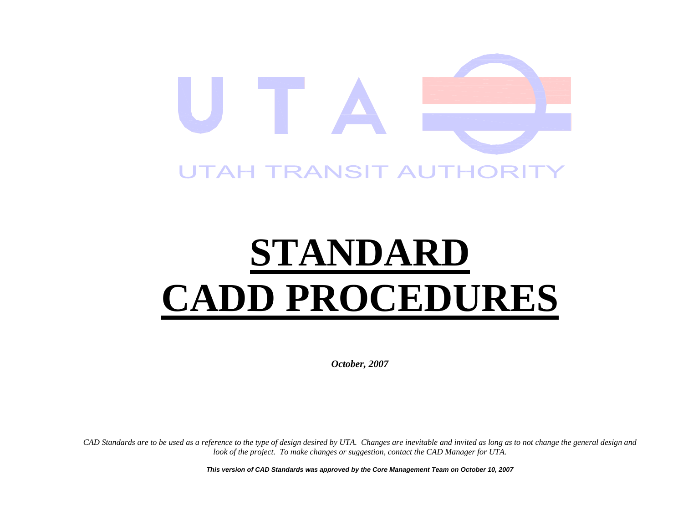

# **STANDARD CADD PROCEDURES**

*October, 2007* 

*CAD Standards are to be used as a reference to the type of design desired by UTA. Changes are inevitable and invited as long as to not change the general design and look of the project. To make changes or suggestion, contact the CAD Manager for UTA.* 

*This version of CAD Standards was approved by the Core Management Team on October 10, 2007*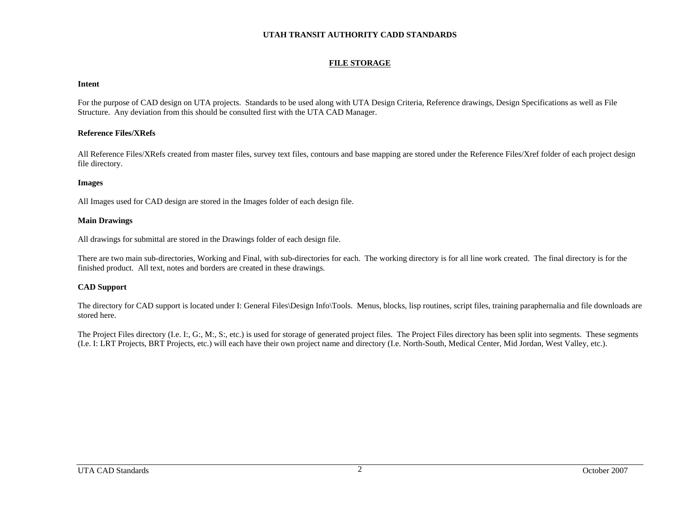# **FILE STORAGE**

#### **Intent**

For the purpose of CAD design on UTA projects. Standards to be used along with UTA Design Criteria, Reference drawings, Design Specifications as well as File Structure. Any deviation from this should be consulted first with the UTA CAD Manager.

# **Reference Files/XRefs**

All Reference Files/XRefs created from master files, survey text files, contours and base mapping are stored under the Reference Files/Xref folder of each project design file directory.

# **Images**

All Images used for CAD design are stored in the Images folder of each design file.

# **Main Drawings**

All drawings for submittal are stored in the Drawings folder of each design file.

There are two main sub-directories, Working and Final, with sub-directories for each. The working directory is for all line work created. The final directory is for the finished product. All text, notes and borders are created in these drawings.

# **CAD Support**

The directory for CAD support is located under I: General Files\Design Info\Tools. Menus, blocks, lisp routines, script files, training paraphernalia and file downloads are stored here.

The Project Files directory (I.e. I:, G:, M:, S:, etc.) is used for storage of generated project files. The Project Files directory has been split into segments. These segments (I.e. I: LRT Projects, BRT Projects, etc.) will each have their own project name and directory (I.e. North-South, Medical Center, Mid Jordan, West Valley, etc.).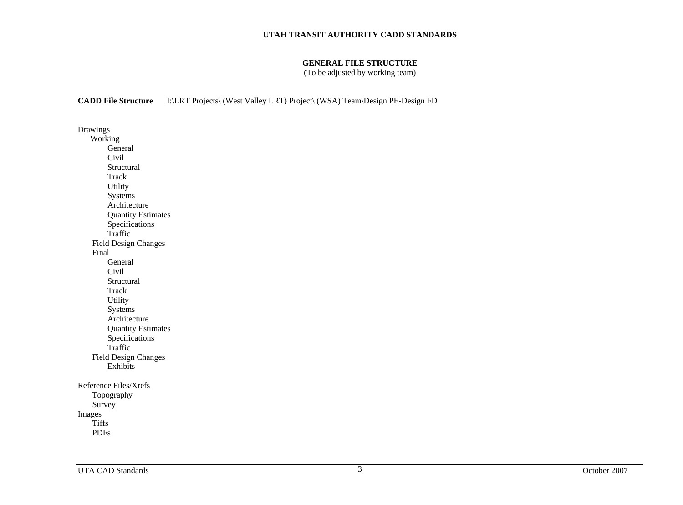# **GENERAL FILE STRUCTURE**

(To be adjusted by working team)

**CADD File Structure** I:\LRT Projects\ (West Valley LRT) Project\ (WSA) Team\Design PE-Design FD

Drawings Working General Civil Structural Track Utility Systems Architecture Quantity Estimates Specifications Traffic Field Design Changes Final General Civil Structural **Track**  Utility Systems Architecture Quantity Estimates Specifications Traffic Field Design Changes Exhibits Reference Files/Xrefs Topography Survey Images Tiffs PDFs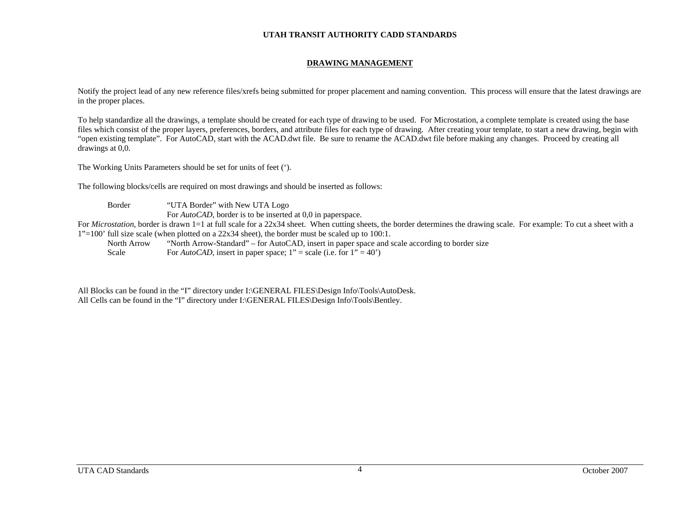# **DRAWING MANAGEMENT**

Notify the project lead of any new reference files/xrefs being submitted for proper placement and naming convention. This process will ensure that the latest drawings are in the proper places.

To help standardize all the drawings, a template should be created for each type of drawing to be used. For Microstation, a complete template is created using the base files which consist of the proper layers, preferences, borders, and attribute files for each type of drawing. After creating your template, to start a new drawing, begin with "open existing template". For AutoCAD, start with the ACAD.dwt file. Be sure to rename the ACAD.dwt file before making any changes. Proceed by creating all drawings at 0,0.

The Working Units Parameters should be set for units of feet (').

The following blocks/cells are required on most drawings and should be inserted as follows:

Border "UTA Border" with New UTA Logo

For *AutoCAD*, border is to be inserted at 0,0 in paperspace.

For *Microstation*, border is drawn 1=1 at full scale for a 22x34 sheet. When cutting sheets, the border determines the drawing scale. For example: To cut a sheet with a 1"=100' full size scale (when plotted on a 22x34 sheet), the border must be scaled up to 100:1.

 North Arrow "North Arrow-Standard" – for AutoCAD, insert in paper space and scale according to border size Scale For *AutoCAD*, insert in paper space; 1" = scale (i.e. for 1" = 40")

All Blocks can be found in the "I" directory under I:\GENERAL FILES\Design Info\Tools\AutoDesk. All Cells can be found in the "I" directory under I:\GENERAL FILES\Design Info\Tools\Bentley.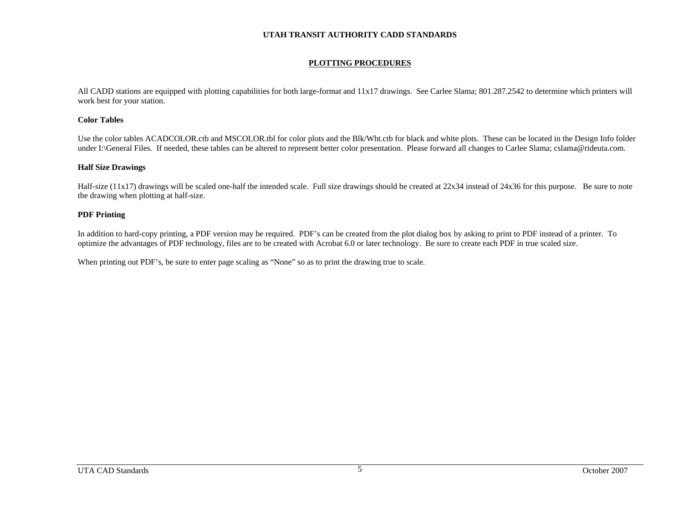# **PLOTTING PROCEDURES**

All CADD stations are equipped with plotting capabilities for both large-format and 11x17 drawings. See Carlee Slama; 801.287.2542 to determine which printers will work best for your station.

## **Color Tables**

Use the color tables ACADCOLOR.ctb and MSCOLOR.tbl for color plots and the Blk/Wht.ctb for black and white plots. These can be located in the Design Info folder under I:\General Files. If needed, these tables can be altered to represent better color presentation. Please forward all changes to Carlee Slama; cslama@rideuta.com.

# **Half Size Drawings**

Half-size (11x17) drawings will be scaled one-half the intended scale. Full size drawings should be created at 22x34 instead of 24x36 for this purpose. Be sure to note the drawing when plotting at half-size.

# **PDF Printing**

In addition to hard-copy printing, a PDF version may be required. PDF's can be created from the plot dialog box by asking to print to PDF instead of a printer. To optimize the advantages of PDF technology, files are to be created with Acrobat 6.0 or later technology. Be sure to create each PDF in true scaled size.

When printing out PDF's, be sure to enter page scaling as "None" so as to print the drawing true to scale.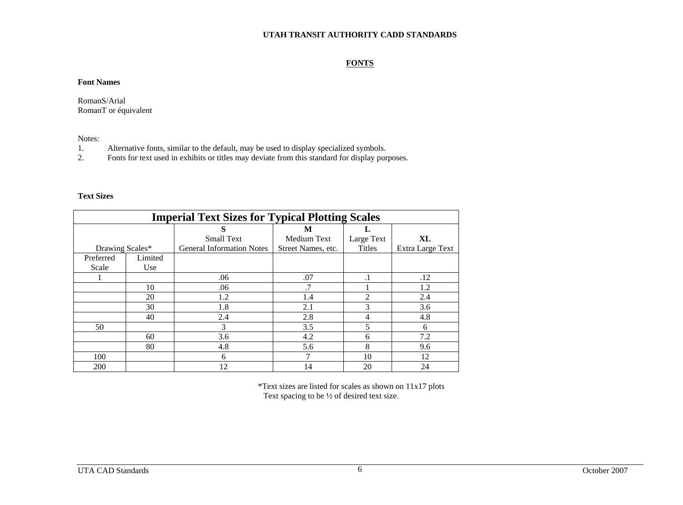# **FONTS**

#### **Font Names**

RomanS/Arial RomanT or équivalent

Notes:

- 1.Alternative fonts, similar to the default, may be used to display specialized symbols.
- 2.Fonts for text used in exhibits or titles may deviate from this standard for display purposes.

#### **Text Sizes**

| <b>Imperial Text Sizes for Typical Plotting Scales</b> |         |                                  |                    |            |                  |  |
|--------------------------------------------------------|---------|----------------------------------|--------------------|------------|------------------|--|
| S<br>M                                                 |         |                                  |                    |            |                  |  |
|                                                        |         | <b>Small Text</b>                | Medium Text        | Large Text | XL               |  |
| Drawing Scales*                                        |         | <b>General Information Notes</b> | Street Names, etc. | Titles     | Extra Large Text |  |
| Preferred                                              | Limited |                                  |                    |            |                  |  |
| Scale                                                  | Use     |                                  |                    |            |                  |  |
|                                                        |         | .06                              | .07                | .1         | .12              |  |
|                                                        | 10      | .06                              |                    |            | 1.2              |  |
|                                                        | 20      | 1.2                              | 1.4                | 2          | 2.4              |  |
|                                                        | 30      | 1.8                              | 2.1                | 3          | 3.6              |  |
|                                                        | 40      | 2.4                              | 2.8                | 4          | 4.8              |  |
| 50                                                     |         | 3                                | 3.5                |            | 6                |  |
|                                                        | 60      | 3.6                              | 4.2                | 6          | 7.2              |  |
|                                                        | 80      | 4.8                              | 5.6                | 8          | 9.6              |  |
| 100                                                    |         | 6                                |                    | 10         | 12               |  |
| 200                                                    |         | 12                               | 14                 | 20         | 24               |  |

 \*Text sizes are listed for scales as shown on 11x17 plots Text spacing to be ½ of desired text size.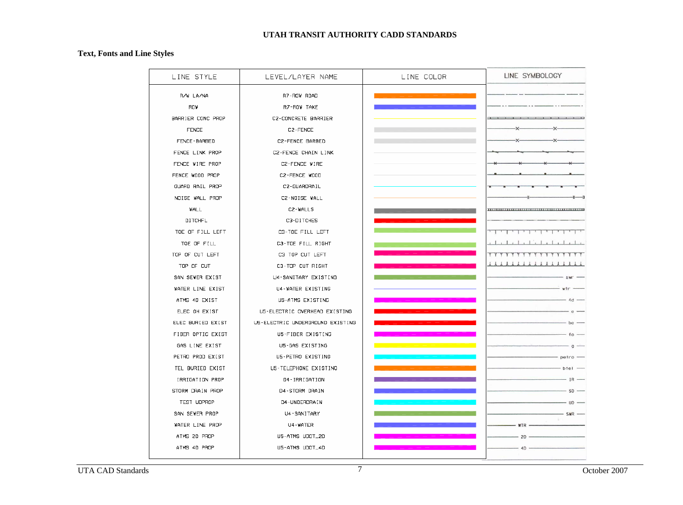# **Text, Fonts and Line Styles**

| LINE STYLE        | LEVEL/LAYER NAME                 | LINE COLOR | LINE SYMBOLOGY      |
|-------------------|----------------------------------|------------|---------------------|
| R/W LA/NA         | R7-ROW ROAD                      |            |                     |
| ROW               | R7-ROW TAKE                      |            |                     |
| BARRIER CONC PROP | C2-CONCRETE BARRIER              |            |                     |
| <b>FENCE</b>      | C <sub>2</sub> -FENCE            |            | -х                  |
| FENCE-BARBED      | C2-FENCE BARBED                  |            | $-x-$               |
| FENCE LINK PROP   | CZ-FENCE CHAIN LINK              |            |                     |
| FENCE WIRE PROP   | C2-FENCE WIRE                    |            |                     |
| FENCE WOOD PROP   | C2-FENCE WOOD                    |            |                     |
| GUARD RAIL PROP   | C2-GUARDRAIL                     |            |                     |
| NOISE WALL PROP   | CZ-NOISE WALL                    |            |                     |
| WALL              | C2-WALLS                         |            |                     |
| DITCHFL           | C3-DITCHES                       |            |                     |
| TOE OF FILL LEFT  | C3-TOE FILL LEFT                 |            |                     |
| TOE OF FILL       | C3-T0E FILL RIGHT                |            |                     |
| TOP OF CUT LEFT   | C3 TOP CUT LEFT                  |            | YΥ<br><b>YYYYYY</b> |
| TOP OF CUT        | C3-TOP CUT RIGHT                 |            | 1111111111          |
| SAN SEWER EXIST   | U4-SANITARY EXISTING             |            | <b>SWI</b>          |
| WATER LINE EXIST  | U4-WATER EXISTING                |            | wtr                 |
| ATMS 4D EXIST     | U5-ATMS EXISTING                 |            | $4d -$              |
| ELEC OH EXIST     | U5-ELECTRIC OVERHEAD EXISTING    |            |                     |
| ELEC BURIED EXIST | U5-ELECTRIC UNDERGROUND EXISTING |            | $be -$              |
| FIBER OPTIC EXIST | U5-FIBER EXISTING                |            | $f_{0}$ -           |
| GAS LINE EXIST    | U5-DAS EXISTING                  |            | $Q -$               |
| PETRO PROD EXIST  | U5-PETRO EXISTING                |            | $petro -$           |
| TEL BURIED EXIST  | U5-TELEPHONE EXISTING            |            | $-bteI$ $-$         |
| IRRIGATION PROP   | D4-IRRIGATION                    |            | $-$ 1R $-$          |
| STORM DRAIN PROP  | D4-STORM DRAIN                   |            | $-50 -$             |
| TEST UDPROP       | D4-UNDERDRAIN                    |            | $-$ UD $-$          |
| SAN SEWER PROP    | U4-SANITARY                      |            | $-$ SWR $-$         |
| WATER LINE PROP   | U4-WATER                         |            | $-WTR -$            |
| ATMS 2D PROP      | U5-ATMS UDOT_2D                  |            | $20 -$              |
| ATMS 4D PROP      | U5-ATMS UDOT_4D                  |            | $-$ 4D $-$          |
|                   |                                  |            |                     |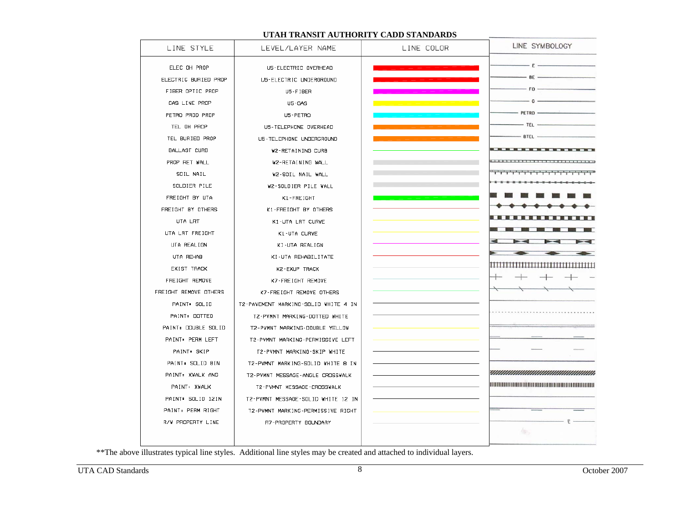| LINE STYLE            | LEVEL/LAYER NAME                     | LINE COLOR | LINE SYMBOLOGY                              |
|-----------------------|--------------------------------------|------------|---------------------------------------------|
| ELEC OH PROP          | U5-ELECTRIC OVERHEAD                 |            | — E —                                       |
| ELECTRIC BURIED PROP  | U5-ELECTRIC UNDERGROUND              |            | $-$ BE $-$                                  |
| FIBER OPTIC PROP      | U5-FIBER                             |            | $-$ FD $-$                                  |
| GAS LINE PROP         | <b>U5-GAS</b>                        |            | - 0 -                                       |
| PETRO PROD PROP       | U5-PETRO                             |            | $-$ PETRO                                   |
| TEL OH PROP           |                                      |            | $-$ TEL $-$                                 |
|                       | U5-TELEPHONE OVERHEAD                |            | $-$ BTEL $-$                                |
| TEL BURIED PROP       | U5-TELEPHDNE UNDERGROUND             |            | <u> KARA BARAT KARA SEBAGAI KA</u>          |
| BALLAST CURB          | <b>W2-RETAINING CURB</b>             |            |                                             |
| PROP RET WALL         | W2-RETAINING WALL                    |            |                                             |
| SOIL NAIL             | WZ-SOIL NAIL WALL                    |            | <del>╵┎╹┰╹┰╹┰┚┰┚┰┚┰┚┰┚┰╹┰╹┰╹┰╹┰┸┱┸</del> ┱╜ |
| SOLDIER PILE          | W2-SOLDIER PILE WALL                 |            |                                             |
| FREIGHT BY UTA        | K1-FREIGHT                           |            |                                             |
| FREIGHT BY OTHERS     | K1-FREIGHT BY OTHERS                 |            |                                             |
| UTA LRT               | K1-UTA LRT CURVE                     |            |                                             |
| UTA LRT FREIGHT       | K1-UTA CURVE                         |            |                                             |
| UTA REALIGN           | KI-UTA REALIGN                       |            | ◀<br>$\rightarrow$                          |
| UTA REHAB             | KI-UTA REHABILITATE                  |            | $-$                                         |
| EXIST TRACK           | K2-EXUP TRACK                        |            |                                             |
| FREIGHT REMOVE        | K7-FREIGHT REMOVE                    |            |                                             |
| FREIGHT REMOVE OTHERS | K7-FREIGHT REMOVE OTHERS             |            |                                             |
| PAINT: SOLID          | T2-PAVEMENT MARKING-SOLID WHITE 4 IN |            |                                             |
| PAINT: DOTTED         | T2-PVMNT MARKING-DOTTED WHITE        |            |                                             |
| PAINT: DOUBLE SOLID   | T2-PYMNT MARKING-DDUBLE YELLOW       |            |                                             |
| PAINT: PERM LEFT      | T2-PVMNT MARKING-PERMISSIVE LEFT     |            |                                             |
| PAINT: SKIP           | T2-PVMNT MARKING-SKIP WHITE          |            |                                             |
| PAINT. SOLID 8IN      | T2-PVMNT MARKING-SOLID WHITE 8 IN    |            |                                             |
| PAINT: XWALK ANG      | T2-PVMNT MESSAGE-ANGLE CROSSWALK     |            | <u>чининишининишинини</u>                   |
| PAINT: XWALK          | T2-PVMNT MESSAGE-CROSSWALK           |            |                                             |
| PAINT: SOLID 12IN     | T2-PVMNT MESSAGE-SOLID WHITE 12 IN   |            |                                             |
| PAINT: PERM RIGHT     | T2-PVMNT MARKING-PERMISSIVE RIGHT    |            |                                             |
| R/W PROPERTY LINE     | R7-PROPERTY BOUNDARY                 |            | - P                                         |
|                       |                                      |            | 做                                           |
|                       |                                      |            |                                             |

\*\*The above illustrates typical line styles. Additional line styles may be created and attached to individual layers.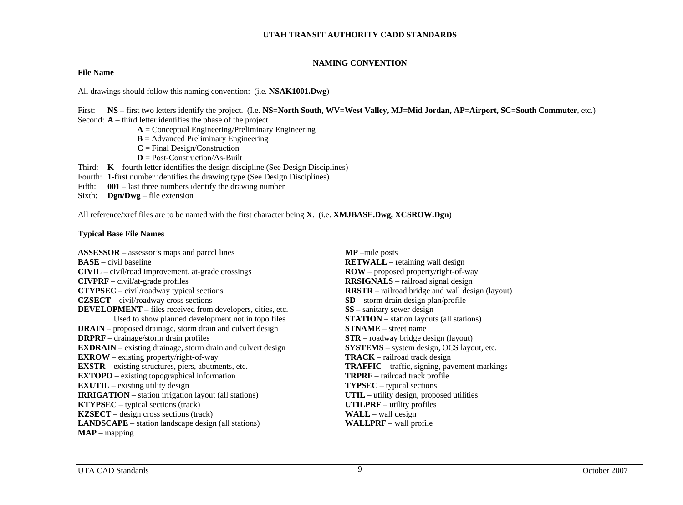# **NAMING CONVENTION**

#### **File Name**

All drawings should follow this naming convention: (i.e. **NSAK1001.Dwg**)

First: **NS** – first two letters identify the project. (I.e. **NS=North South, WV=West Valley, MJ=Mid Jordan, AP=Airport, SC=South Commuter**, etc.) Second: **A** – third letter identifies the phase of the project

- **A** = Conceptual Engineering/Preliminary Engineering
- **B** = Advanced Preliminary Engineering
- $C =$  Final Design/Construction
- **D** = Post-Construction/As-Built
- Third: **K** fourth letter identifies the design discipline (See Design Disciplines)
- Fourth: 1-first number identifies the drawing type (See Design Disciplines)
- Fifth:  $001$  last three numbers identify the drawing number
- Sixth: **Dgn/Dwg** file extension

All reference/xref files are to be named with the first character being **X**. (i.e. **XMJBASE.Dwg, XCSROW.Dgn**)

# **Typical Base File Names**

**ASSESSOR –** assessor's maps and parcel lines **MP** –mile posts **BASE** – civil baseline **RETWALL** – retaining wall design **CIVIL** – civil/road improvement, at-grade crossings **ROW** – proposed property/right-of-way **CIVPRF** – civil/at-grade profiles **RRSIGNALS** – railroad signal design **CTYPSEC** – civil/roadway typical sections **RRSTR** – railroad bridge and wall design (layout) **CZSECT** – civil/roadway cross sections **SD** – storm drain design plan/profile **DEVELOPMENT** – files received from developers, cities, etc. **SS** – sanitary sewer design Used to show planned development not in topo files **STATION** – station layouts (all stations) **DRAIN** – proposed drainage, storm drain and culvert design **STNAME** – street name **DRPRF** – drainage/storm drain profiles **STR** – roadway bridge design (layout) **EXDRAIN** – existing drainage, storm drain and culvert design **SYSTEMS** – system design, OCS layout, etc. **EXROW** – existing property/right-of-way **TRACK** – railroad track design **EXSTR** – existing structures, piers, abutments, etc. **TRAFFIC** – traffic, signing, pavement markings **EXTOPO** – existing topographical information **TRPRF** – railroad track profile **EXUTIL** – existing utility design **TYPSEC** – typical sections **IRRIGATION** – station irrigation layout (all stations) **UTIL** – utility design, proposed utilities **KTYPSEC** – typical sections (track) **UTILPRF** – utility profiles **KZSECT** – design cross sections (track) **WALL** – wall design **LANDSCAPE** – station landscape design (all stations) **WALLPRF** – wall profile **MAP** – mapping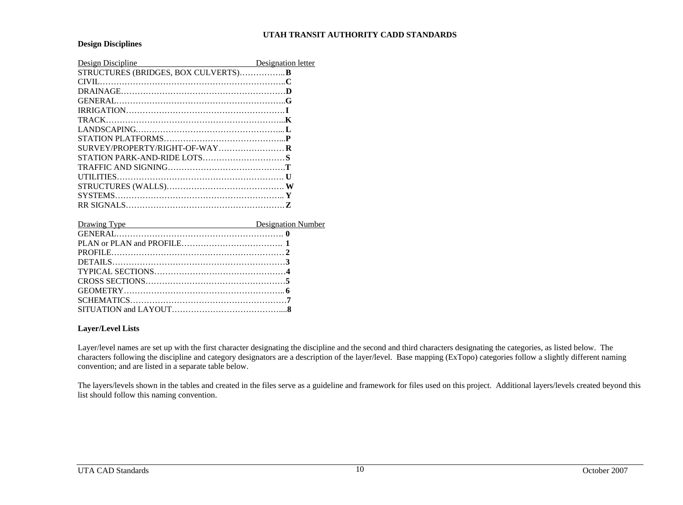#### **Design Disciplines**

| Design Discipline                    | Designation letter |
|--------------------------------------|--------------------|
| STRUCTURES (BRIDGES, BOX CULVERTS) B |                    |
|                                      |                    |
|                                      |                    |
|                                      |                    |
|                                      |                    |
|                                      |                    |
|                                      |                    |
|                                      |                    |
|                                      |                    |
|                                      |                    |
|                                      |                    |
|                                      |                    |
|                                      |                    |
|                                      |                    |
|                                      |                    |
|                                      |                    |

| Drawing Type | <b>Designation Number</b> |
|--------------|---------------------------|
|              |                           |
|              |                           |
|              |                           |
|              |                           |
|              |                           |
|              |                           |
|              |                           |
|              |                           |
|              |                           |

# **Layer/Level Lists**

Layer/level names are set up with the first character designating the discipline and the second and third characters designating the categories, as listed below. The characters following the discipline and category designators are a description of the layer/level. Base mapping (ExTopo) categories follow a slightly different naming convention; and are listed in a separate table below.

The layers/levels shown in the tables and created in the files serve as a guideline and framework for files used on this project. Additional layers/levels created beyond this list should follow this naming convention.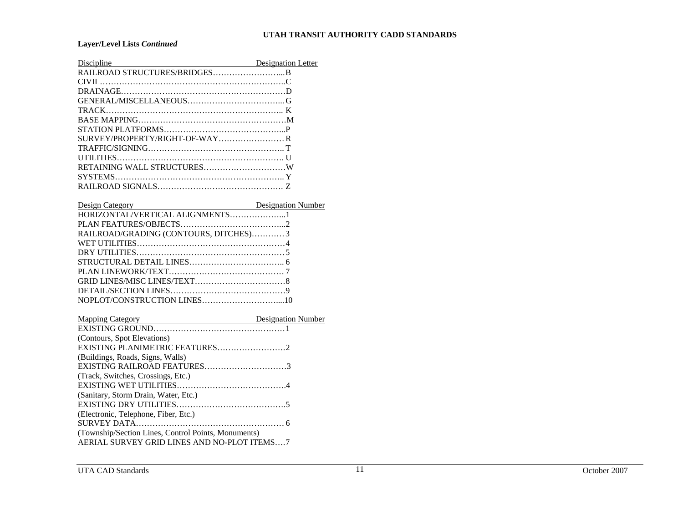# **Layer/Level Lists** *Continued*

| Discipline                   | <b>Designation Letter</b> |
|------------------------------|---------------------------|
|                              |                           |
|                              |                           |
|                              |                           |
|                              |                           |
|                              |                           |
|                              |                           |
|                              |                           |
| SURVEY/PROPERTY/RIGHT-OF-WAY |                           |
|                              |                           |
|                              |                           |
|                              |                           |
|                              |                           |
|                              |                           |
|                              |                           |

| Design Category                       | <b>Designation Number</b> |
|---------------------------------------|---------------------------|
| HORIZONTAL/VERTICAL ALIGNMENTS1       |                           |
|                                       |                           |
| RAILROAD/GRADING (CONTOURS, DITCHES)3 |                           |
|                                       |                           |
|                                       |                           |
|                                       |                           |
|                                       |                           |
|                                       |                           |
|                                       |                           |
|                                       |                           |

| <b>Mapping Category</b>                             | <b>Designation Number</b> |
|-----------------------------------------------------|---------------------------|
|                                                     |                           |
| (Contours, Spot Elevations)                         |                           |
|                                                     |                           |
| (Buildings, Roads, Signs, Walls)                    |                           |
|                                                     |                           |
| (Track, Switches, Crossings, Etc.)                  |                           |
|                                                     |                           |
| (Sanitary, Storm Drain, Water, Etc.)                |                           |
|                                                     |                           |
| (Electronic, Telephone, Fiber, Etc.)                |                           |
|                                                     |                           |
| (Township/Section Lines, Control Points, Monuments) |                           |
| AERIAL SURVEY GRID LINES AND NO-PLOT ITEMS7         |                           |
|                                                     |                           |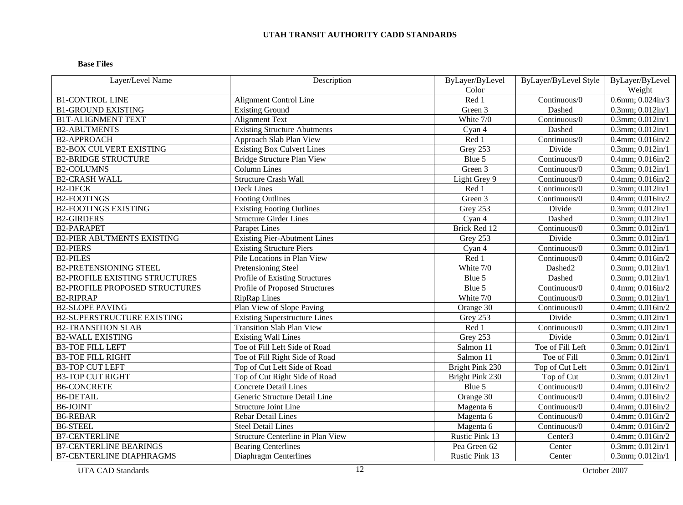#### **Base Files**

| Layer/Level Name                      | Description                          | ByLayer/ByLevel | ByLayer/ByLevel Style | ByLayer/ByLevel                |
|---------------------------------------|--------------------------------------|-----------------|-----------------------|--------------------------------|
|                                       |                                      | Color           |                       | Weight                         |
| <b>B1-CONTROL LINE</b>                | Alignment Control Line               | Red 1           | Continuous/0          | $0.6$ mm; $0.024$ in/3         |
| <b>B1-GROUND EXISTING</b>             | <b>Existing Ground</b>               | Green 3         | Dashed                | $0.3$ mm; $0.012$ in/1         |
| <b>B1T-ALIGNMENT TEXT</b>             | <b>Alignment Text</b>                | White 7/0       | Continuous/0          | $0.3$ mm; $0.012$ in/1         |
| <b>B2-ABUTMENTS</b>                   | <b>Existing Structure Abutments</b>  | Cyan 4          | Dashed                | $0.3$ mm; $0.012$ in/1         |
| <b>B2-APPROACH</b>                    | Approach Slab Plan View              | Red 1           | Continuous/0          | $0.4$ mm; $0.016$ in/2         |
| <b>B2-BOX CULVERT EXISTING</b>        | <b>Existing Box Culvert Lines</b>    | Grey 253        | Divide                | $0.3$ mm; $0.012$ in/1         |
| <b>B2-BRIDGE STRUCTURE</b>            | <b>Bridge Structure Plan View</b>    | Blue 5          | Continuous/0          | $0.4$ mm; $0.016$ in/2         |
| <b>B2-COLUMNS</b>                     | <b>Column Lines</b>                  | Green 3         | Continuous/0          | $0.3$ mm; $0.012$ in/1         |
| <b>B2-CRASH WALL</b>                  | <b>Structure Crash Wall</b>          | Light Grey 9    | Continuous/0          | $0.4$ mm; $0.016$ in/2         |
| <b>B2-DECK</b>                        | Deck Lines                           | Red 1           | Continuous/0          | $0.3$ mm; $0.012$ in/1         |
| <b>B2-FOOTINGS</b>                    | <b>Footing Outlines</b>              | Green 3         | Continuous/0          | 0.4mm; 0.016in/2               |
| <b>B2-FOOTINGS EXISTING</b>           | <b>Existing Footing Outlines</b>     | Grey 253        | Divide                | $0.3$ mm; $0.012$ in/1         |
| <b>B2-GIRDERS</b>                     | <b>Structure Girder Lines</b>        | Cyan 4          | Dashed                | $0.3$ mm; $0.012$ in/1         |
| <b>B2-PARAPET</b>                     | Parapet Lines                        | Brick Red 12    | Continuous/0          | $0.3$ mm; $0.012$ in/1         |
| <b>B2-PIER ABUTMENTS EXISTING</b>     | <b>Existing Pier-Abutment Lines</b>  | Grey 253        | Divide                | $0.3$ mm; $0.012$ in/1         |
| <b>B2-PIERS</b>                       | <b>Existing Structure Piers</b>      | Cyan 4          | Continuous/0          | $0.3$ mm; $0.012$ in/1         |
| <b>B2-PILES</b>                       | Pile Locations in Plan View          | Red 1           | Continuous/0          | $0.4$ mm; $0.016$ in/2         |
| <b>B2-PRETENSIONING STEEL</b>         | Pretensioning Steel                  | White 7/0       | Dashed2               | $0.3$ mm; $0.012$ in/1         |
| <b>B2-PROFILE EXISTING STRUCTURES</b> | Profile of Existing Structures       | Blue 5          | Dashed                | $0.3$ mm; $0.012$ in/1         |
| <b>B2-PROFILE PROPOSED STRUCTURES</b> | Profile of Proposed Structures       | Blue 5          | Continuous/0          | $0.4$ mm; $0.016$ in/2         |
| <b>B2-RIPRAP</b>                      | <b>RipRap Lines</b>                  | White 7/0       | Continuous/0          | $0.3$ mm; $0.012$ in/1         |
| <b>B2-SLOPE PAVING</b>                | Plan View of Slope Paving            | Orange 30       | Continuous/0          | 0.4mm; 0.016in/2               |
| <b>B2-SUPERSTRUCTURE EXISTING</b>     | <b>Existing Superstructure Lines</b> | Grey 253        | Divide                | $0.3$ mm; $0.012$ in/1         |
| <b>B2-TRANSITION SLAB</b>             | <b>Transition Slab Plan View</b>     | Red 1           | Continuous/0          | $0.3$ mm; $0.012$ in/1         |
| <b>B2-WALL EXISTING</b>               | <b>Existing Wall Lines</b>           | Grey 253        | Divide                | $0.3$ mm; $0.012$ in/1         |
| <b>B3-TOE FILL LEFT</b>               | Toe of Fill Left Side of Road        | Salmon 11       | Toe of Fill Left      | $0.3$ mm; $0.012$ in/1         |
| <b>B3-TOE FILL RIGHT</b>              | Toe of Fill Right Side of Road       | Salmon 11       | Toe of Fill           | $0.3$ mm; $0.012$ in/1         |
| <b>B3-TOP CUT LEFT</b>                | Top of Cut Left Side of Road         | Bright Pink 230 | Top of Cut Left       | $0.3$ mm; $0.012$ in/1         |
| <b>B3-TOP CUT RIGHT</b>               | Top of Cut Right Side of Road        | Bright Pink 230 | Top of Cut            | $0.3$ mm; $0.012$ in/1         |
| <b>B6-CONCRETE</b>                    | <b>Concrete Detail Lines</b>         | Blue 5          | Continuous/0          | $0.4$ mm; $0.016$ in/2         |
| <b>B6-DETAIL</b>                      | Generic Structure Detail Line        | Orange 30       | Continuous/0          | $0.4$ mm; $0.016$ in/2         |
| <b>B6-JOINT</b>                       | <b>Structure Joint Line</b>          | Magenta 6       | Continuous/0          | 0.4mm; $0.016$ in/2            |
| <b>B6-REBAR</b>                       | <b>Rebar Detail Lines</b>            | Magenta 6       | Continuous/0          | 0.4mm; 0.016in/2               |
| <b>B6-STEEL</b>                       | <b>Steel Detail Lines</b>            | Magenta 6       | Continuous/0          | $0.4$ mm; $0.016$ in/2         |
| <b>B7-CENTERLINE</b>                  | Structure Centerline in Plan View    | Rustic Pink 13  | Center <sub>3</sub>   | $0.4$ mm; $0.016$ in/2         |
| <b>B7-CENTERLINE BEARINGS</b>         | <b>Bearing Centerlines</b>           | Pea Green 62    | Center                | $0.3$ mm; $0.012$ in/1         |
| <b>B7-CENTERLINE DIAPHRAGMS</b>       | <b>Diaphragm Centerlines</b>         | Rustic Pink 13  | Center                | $\overline{0.3}$ mm; 0.012in/1 |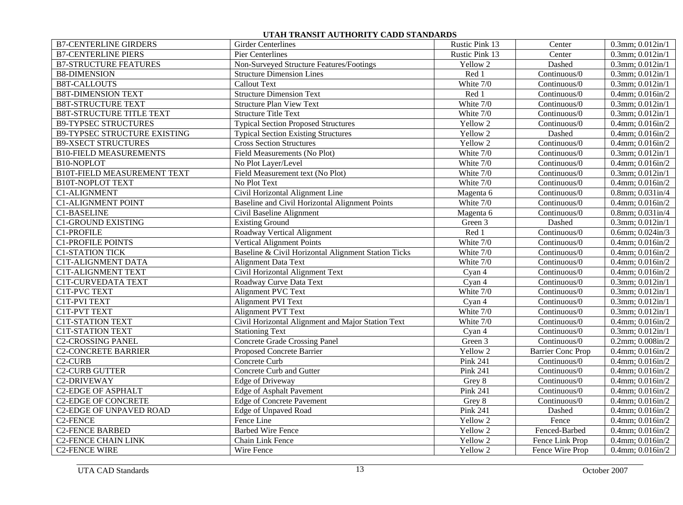| <b>B7-CENTERLINE GIRDERS</b>        | <b>Girder Centerlines</b>                           | Rustic Pink 13  | Center                            | $0.3$ mm; $0.012$ in/1 |
|-------------------------------------|-----------------------------------------------------|-----------------|-----------------------------------|------------------------|
| <b>B7-CENTERLINE PIERS</b>          | <b>Pier Centerlines</b>                             | Rustic Pink 13  | Center                            | $0.3$ mm; $0.012$ in/1 |
| <b>B7-STRUCTURE FEATURES</b>        | Non-Surveyed Structure Features/Footings            | Yellow 2        | Dashed                            | $0.3$ mm; $0.012$ in/1 |
| <b>B8-DIMENSION</b>                 | <b>Structure Dimension Lines</b>                    | Red 1           | Continuous/0                      | $0.3$ mm; $0.012$ in/1 |
| <b>B8T-CALLOUTS</b>                 | <b>Callout Text</b>                                 | White 7/0       | Continuous/0                      | $0.3$ mm; $0.012$ in/1 |
| <b>B8T-DIMENSION TEXT</b>           | <b>Structure Dimension Text</b>                     | Red 1           | Continuous/0                      | $0.4$ mm; $0.016$ in/2 |
| <b>B8T-STRUCTURE TEXT</b>           | <b>Structure Plan View Text</b>                     | White 7/0       | Continuous/0                      | $0.3$ mm; $0.012$ in/1 |
| <b>B8T-STRUCTURE TITLE TEXT</b>     | <b>Structure Title Text</b>                         | White 7/0       | Continuous/0                      | $0.3$ mm; $0.012$ in/1 |
| <b>B9-TYPSEC STRUCTURES</b>         | <b>Typical Section Proposed Structures</b>          | Yellow 2        | Continuous/0                      | $0.4$ mm; $0.016$ in/2 |
| <b>B9-TYPSEC STRUCTURE EXISTING</b> | <b>Typical Section Existing Structures</b>          | Yellow 2        | Dashed                            | $0.4$ mm; $0.016$ in/2 |
| <b>B9-XSECT STRUCTURES</b>          | <b>Cross Section Structures</b>                     | Yellow 2        | Continuous/0                      | $0.4$ mm; $0.016$ in/2 |
| <b>B10-FIELD MEASUREMENTS</b>       | Field Measurements (No Plot)                        | White 7/0       | Continuous/0                      | $0.3$ mm; $0.012$ in/1 |
| B10-NOPLOT                          | No Plot Layer/Level                                 | White 7/0       | $\overline{\text{Continuous}}$ /0 | $0.4$ mm; $0.016$ in/2 |
| <b>B10T-FIELD MEASUREMENT TEXT</b>  | Field Measurement text (No Plot)                    | White 7/0       | Continuous/0                      | $0.3$ mm; $0.012$ in/1 |
| <b>B10T-NOPLOT TEXT</b>             | No Plot Text                                        | White 7/0       | Continuous/0                      | $0.4$ mm; $0.016$ in/2 |
| C1-ALIGNMENT                        | Civil Horizontal Alignment Line                     | Magenta 6       | Continuous/0                      | $0.8$ mm; $0.031$ in/4 |
| <b>C1-ALIGNMENT POINT</b>           | Baseline and Civil Horizontal Alignment Points      | White 7/0       | Continuous/0                      | $0.4$ mm; $0.016$ in/2 |
| C1-BASELINE                         | Civil Baseline Alignment                            | Magenta 6       | Continuous/0                      | $0.8$ mm; $0.031$ in/4 |
| <b>C1-GROUND EXISTING</b>           | <b>Existing Ground</b>                              | Green 3         | Dashed                            | $0.3$ mm; $0.012$ in/1 |
| C1-PROFILE                          | Roadway Vertical Alignment                          | Red 1           | Continuous/0                      | $0.6$ mm; $0.024$ in/3 |
| <b>C1-PROFILE POINTS</b>            | <b>Vertical Alignment Points</b>                    | White 7/0       | Continuous/0                      | $0.4$ mm; $0.016$ in/2 |
| <b>C1-STATION TICK</b>              | Baseline & Civil Horizontal Alignment Station Ticks | White 7/0       | Continuous/0                      | $0.4$ mm; $0.016$ in/2 |
| C1T-ALIGNMENT DATA                  | <b>Alignment Data Text</b>                          | White 7/0       | Continuous/0                      | $0.4$ mm; $0.016$ in/2 |
| <b>C1T-ALIGNMENT TEXT</b>           | Civil Horizontal Alignment Text                     | Cyan 4          | Continuous/0                      | $0.4$ mm; $0.016$ in/2 |
| <b>C1T-CURVEDATA TEXT</b>           | Roadway Curve Data Text                             | Cyan 4          | Continuous/0                      | $0.3$ mm; $0.012$ in/1 |
| C1T-PVC TEXT                        | Alignment PVC Text                                  | White 7/0       | Continuous/0                      | $0.3$ mm; $0.012$ in/1 |
| C1T-PVI TEXT                        | Alignment PVI Text                                  | Cyan 4          | Continuous/0                      | $0.3$ mm; $0.012$ in/1 |
| C1T-PVT TEXT                        | Alignment PVT Text                                  | White 7/0       | Continuous/0                      | $0.3$ mm; $0.012$ in/1 |
| <b>C1T-STATION TEXT</b>             | Civil Horizontal Alignment and Major Station Text   | White $7/0$     | Continuous/0                      | $0.4$ mm; $0.016$ in/2 |
| <b>C1T-STATION TEXT</b>             | <b>Stationing Text</b>                              | Cyan 4          | Continuous/0                      | $0.3$ mm; $0.012$ in/1 |
| <b>C2-CROSSING PANEL</b>            | <b>Concrete Grade Crossing Panel</b>                | Green 3         | Continuous/0                      | $0.2$ mm; $0.008$ in/2 |
| <b>C2-CONCRETE BARRIER</b>          | Proposed Concrete Barrier                           | Yellow 2        | <b>Barrier Conc Prop</b>          | $0.4$ mm; $0.016$ in/2 |
| C <sub>2</sub> -CURB                | Concrete Curb                                       | <b>Pink 241</b> | Continuous/0                      | $0.4$ mm; $0.016$ in/2 |
| <b>C2-CURB GUTTER</b>               | Concrete Curb and Gutter                            | <b>Pink 241</b> | Continuous/0                      | $0.4$ mm; $0.016$ in/2 |
| <b>C2-DRIVEWAY</b>                  | Edge of Driveway                                    | Grey 8          | Continuous/0                      | $0.4$ mm; $0.016$ in/2 |
| <b>C2-EDGE OF ASPHALT</b>           | <b>Edge of Asphalt Pavement</b>                     | <b>Pink 241</b> | Continuous/0                      | $0.4$ mm; $0.016$ in/2 |
| <b>C2-EDGE OF CONCRETE</b>          | <b>Edge of Concrete Pavement</b>                    | Grey 8          | Continuous/0                      | $0.4$ mm; $0.016$ in/2 |
| <b>C2-EDGE OF UNPAVED ROAD</b>      | <b>Edge of Unpaved Road</b>                         | <b>Pink 241</b> | Dashed                            | $0.4$ mm; $0.016$ in/2 |
| C <sub>2</sub> -FENCE               | Fence Line                                          | Yellow 2        | Fence                             | $0.4$ mm; $0.016$ in/2 |
| <b>C2-FENCE BARBED</b>              | <b>Barbed Wire Fence</b>                            | Yellow 2        | Fenced-Barbed                     | $0.4$ mm; $0.016$ in/2 |
| <b>C2-FENCE CHAIN LINK</b>          | Chain Link Fence                                    | Yellow 2        | Fence Link Prop                   | $0.4$ mm; $0.016$ in/2 |
| <b>C2-FENCE WIRE</b>                | Wire Fence                                          | Yellow 2        | Fence Wire Prop                   | $0.4$ mm; $0.016$ in/2 |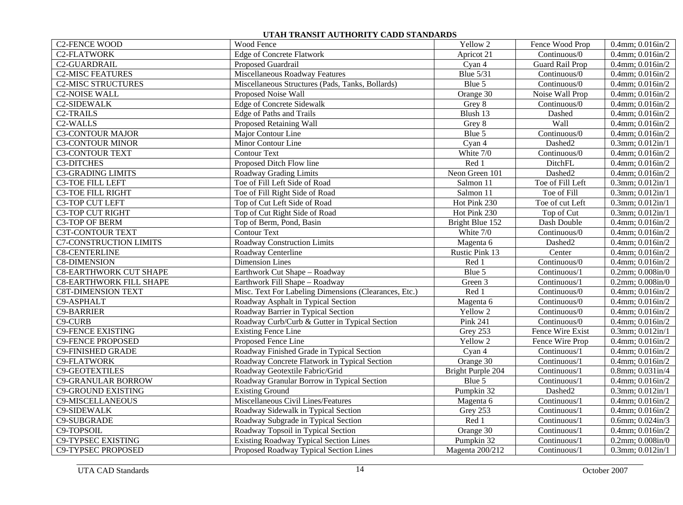| <b>C2-FENCE WOOD</b>           | Wood Fence                                            | Yellow 2                  | Fence Wood Prop                   | $0.4$ mm; $0.016$ in/2    |
|--------------------------------|-------------------------------------------------------|---------------------------|-----------------------------------|---------------------------|
| <b>C2-FLATWORK</b>             | <b>Edge of Concrete Flatwork</b>                      | Apricot 21                | Continuous/0                      | $0.4$ mm; $0.016$ in/2    |
| C2-GUARDRAIL                   | Proposed Guardrail                                    | Cyan 4                    | Guard Rail Prop                   | $0.4$ mm; $0.016$ in/2    |
| <b>C2-MISC FEATURES</b>        | Miscellaneous Roadway Features                        | <b>Blue 5/31</b>          | $\overline{\text{Continuous}}$ /0 | $0.4$ mm; $0.016$ in/2    |
| <b>C2-MISC STRUCTURES</b>      | Miscellaneous Structures (Pads, Tanks, Bollards)      | Blue 5                    | Continuous/0                      | 0.4mm; 0.016in/2          |
| <b>C2-NOISE WALL</b>           | Proposed Noise Wall                                   | Orange 30                 | Noise Wall Prop                   | $0.4$ mm; $0.016$ in/2    |
| C2-SIDEWALK                    | <b>Edge of Concrete Sidewalk</b>                      | Grey 8                    | Continuous/0                      | $0.4$ mm; $0.016$ in/2    |
| <b>C2-TRAILS</b>               | <b>Edge of Paths and Trails</b>                       | Blush 13                  | Dashed                            | $0.4$ mm; $0.016$ in/2    |
| C <sub>2</sub> -WALLS          | Proposed Retaining Wall                               | Grey 8                    | Wall                              | 0.4mm; 0.016in/2          |
| <b>C3-CONTOUR MAJOR</b>        | Major Contour Line                                    | Blue 5                    | Continuous/0                      | $0.4$ mm; $0.016$ in/2    |
| <b>C3-CONTOUR MINOR</b>        | Minor Contour Line                                    | Cyan 4                    | Dashed2                           | $0.3$ mm; $0.012$ in/1    |
| <b>C3-CONTOUR TEXT</b>         | <b>Contour Text</b>                                   | White 7/0                 | Continuous/0                      | $0.4$ mm; $0.016$ in/2    |
| <b>C3-DITCHES</b>              | Proposed Ditch Flow line                              | $\text{Red}$ <sup>1</sup> | DitchFL                           | 0.4mm; 0.016in/2          |
| <b>C3-GRADING LIMITS</b>       | Roadway Grading Limits                                | Neon Green 101            | Dashed2                           | $0.4$ mm; $0.016$ in/2    |
| <b>C3-TOE FILL LEFT</b>        | Toe of Fill Left Side of Road                         | Salmon 11                 | Toe of Fill Left                  | $0.3$ mm; $0.012$ in/1    |
| <b>C3-TOE FILL RIGHT</b>       | Toe of Fill Right Side of Road                        | Salmon 11                 | Toe of Fill                       | $0.3$ mm; $0.012$ in/1    |
| C3-TOP CUT LEFT                | Top of Cut Left Side of Road                          | Hot Pink 230              | Toe of cut Left                   | $0.3$ mm; $0.012$ in/1    |
| <b>C3-TOP CUT RIGHT</b>        | Top of Cut Right Side of Road                         | Hot Pink 230              | Top of Cut                        | $0.3$ mm; $0.012$ in/1    |
| <b>C3-TOP OF BERM</b>          | Top of Berm, Pond, Basin                              | Bright Blue 152           | Dash Double                       | $0.4$ mm; $0.016$ in/2    |
| <b>C3T-CONTOUR TEXT</b>        | <b>Contour Text</b>                                   | White 7/0                 | Continuous/0                      | $0.4$ mm; $0.016$ in/2    |
| <b>C7-CONSTRUCTION LIMITS</b>  | Roadway Construction Limits                           | Magenta 6                 | Dashed2                           | 0.4mm; 0.016in/2          |
| <b>C8-CENTERLINE</b>           | Roadway Centerline                                    | Rustic Pink 13            | Center                            | 0.4mm; 0.016in/2          |
| <b>C8-DIMENSION</b>            | <b>Dimension Lines</b>                                | Red 1                     | Continuous/0                      | $0.4$ mm; $0.016$ in/2    |
| <b>C8-EARTHWORK CUT SHAPE</b>  | Earthwork Cut Shape - Roadway                         | Blue 5                    | Continuous/1                      | $0.2$ mm; $0.008$ in/ $0$ |
| <b>C8-EARTHWORK FILL SHAPE</b> | Earthwork Fill Shape - Roadway                        | Green 3                   | Continuous/1                      | $0.2$ mm; $0.008$ in/ $0$ |
| <b>C8T-DIMENSION TEXT</b>      | Misc. Text For Labeling Dimensions (Clearances, Etc.) | Red 1                     | Continuous/0                      | $0.4$ mm; $0.016$ in/2    |
| C9-ASPHALT                     | Roadway Asphalt in Typical Section                    | Magenta 6                 | $\overline{\text{Continuous}}$ /0 | $0.4$ mm; $0.016$ in/2    |
| <b>C9-BARRIER</b>              | Roadway Barrier in Typical Section                    | Yellow 2                  | Continuous/0                      | $0.4$ mm; $0.016$ in/2    |
| C9-CURB                        | Roadway Curb/Curb & Gutter in Typical Section         | Pink 241                  | Continuous/0                      | $0.4$ mm; $0.016$ in/2    |
| <b>C9-FENCE EXISTING</b>       | <b>Existing Fence Line</b>                            | Grey 253                  | Fence Wire Exist                  | $0.3$ mm; $0.012$ in/1    |
| <b>C9-FENCE PROPOSED</b>       | Proposed Fence Line                                   | Yellow 2                  | Fence Wire Prop                   | 0.4mm; 0.016in/2          |
| <b>C9-FINISHED GRADE</b>       | Roadway Finished Grade in Typical Section             | Cyan 4                    | Continuous/1                      | 0.4mm; 0.016in/2          |
| <b>C9-FLATWORK</b>             | Roadway Concrete Flatwork in Typical Section          | Orange 30                 | Continuous/1                      | $0.4$ mm; $0.016$ in/2    |
| <b>C9-GEOTEXTILES</b>          | Roadway Geotextile Fabric/Grid                        | Bright Purple 204         | Continuous/1                      | $0.8$ mm; $0.031$ in/4    |
| <b>C9-GRANULAR BORROW</b>      | Roadway Granular Borrow in Typical Section            | Blue 5                    | Continuous/1                      | $0.4$ mm; $0.016$ in/2    |
| <b>C9-GROUND EXISTING</b>      | <b>Existing Ground</b>                                | Pumpkin 32                | Dashed2                           | $0.3$ mm; $0.012$ in/1    |
| C9-MISCELLANEOUS               | Miscellaneous Civil Lines/Features                    | Magenta 6                 | Continuous/1                      | 0.4mm; 0.016in/2          |
| C9-SIDEWALK                    | Roadway Sidewalk in Typical Section                   | Grey 253                  | Continuous/1                      | 0.4mm; 0.016in/2          |
| C9-SUBGRADE                    | Roadway Subgrade in Typical Section                   | Red 1                     | Continuous/1                      | 0.6mm; 0.024in/3          |
| C9-TOPSOIL                     | Roadway Topsoil in Typical Section                    | Orange 30                 | Continuous/1                      | $0.4$ mm; $0.016$ in/2    |
| <b>C9-TYPSEC EXISTING</b>      | <b>Existing Roadway Typical Section Lines</b>         | Pumpkin 32                | Continuous/1                      | $0.2$ mm; $0.008$ in/ $0$ |
| <b>C9-TYPSEC PROPOSED</b>      | Proposed Roadway Typical Section Lines                | Magenta 200/212           | Continuous/1                      | $0.3$ mm; $0.012$ in/1    |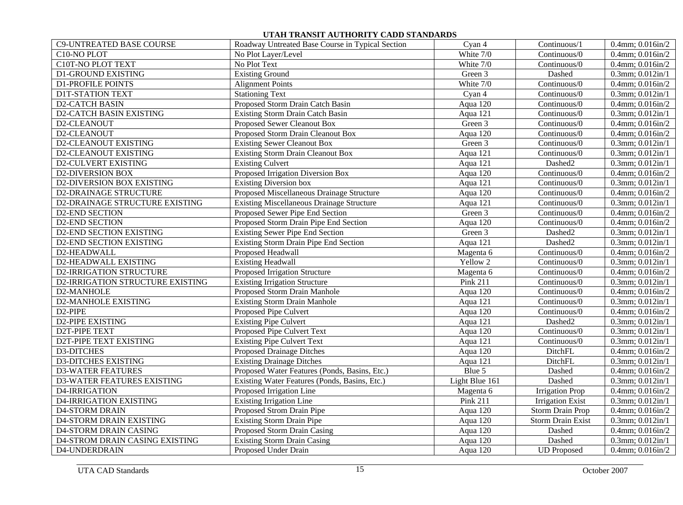| C9-UNTREATED BASE COURSE          | Roadway Untreated Base Course in Typical Section | Cyan 4          | Continuous/1                      | $0.4$ mm; $0.016$ in/2 |
|-----------------------------------|--------------------------------------------------|-----------------|-----------------------------------|------------------------|
| C10-NO PLOT                       | No Plot Layer/Level                              | White 7/0       | Continuous/0                      | $0.4$ mm; $0.016$ in/2 |
| C10T-NO PLOT TEXT                 | No Plot Text                                     | White 7/0       | Continuous/0                      | 0.4mm; 0.016in/2       |
| <b>D1-GROUND EXISTING</b>         | <b>Existing Ground</b>                           | Green 3         | Dashed                            | $0.3$ mm; $0.012$ in/1 |
| <b>D1-PROFILE POINTS</b>          | <b>Alignment Points</b>                          | White 7/0       | Continuous/0                      | $0.4$ mm; $0.016$ in/2 |
| <b>D1T-STATION TEXT</b>           | <b>Stationing Text</b>                           | Cyan 4          | Continuous/0                      | $0.3$ mm; $0.012$ in/1 |
| <b>D2-CATCH BASIN</b>             | Proposed Storm Drain Catch Basin                 | Aqua 120        | Continuous/0                      | $0.4$ mm; $0.016$ in/2 |
| <b>D2-CATCH BASIN EXISTING</b>    | Existing Storm Drain Catch Basin                 | Aqua 121        | Continuous/0                      | 0.3mm; 0.012in/1       |
| D2-CLEANOUT                       | Proposed Sewer Cleanout Box                      | Green 3         | Continuous/0                      | $0.4$ mm; $0.016$ in/2 |
| D2-CLEANOUT                       | Proposed Storm Drain Cleanout Box                | Aqua 120        | Continuous/0                      | $0.4$ mm; $0.016$ in/2 |
| <b>D2-CLEANOUT EXISTING</b>       | <b>Existing Sewer Cleanout Box</b>               | Green 3         | Continuous/0                      | $0.3$ mm; $0.012$ in/1 |
| <b>D2-CLEANOUT EXISTING</b>       | <b>Existing Storm Drain Cleanout Box</b>         | Aqua 121        | Continuous/0                      | $0.3$ mm; $0.012$ in/1 |
| <b>D2-CULVERT EXISTING</b>        | <b>Existing Culvert</b>                          | Aqua 121        | Dashed2                           | 0.3mm; 0.012in/1       |
| <b>D2-DIVERSION BOX</b>           | Proposed Irrigation Diversion Box                | Aqua 120        | Continuous/0                      | $0.4$ mm; $0.016$ in/2 |
| <b>D2-DIVERSION BOX EXISTING</b>  | <b>Existing Diversion box</b>                    | Aqua 121        | Continuous/0                      | $0.3$ mm; $0.012$ in/1 |
| <b>D2-DRAINAGE STRUCTURE</b>      | Proposed Miscellaneous Drainage Structure        | Aqua 120        | Continuous/0                      | $0.4$ mm; $0.016$ in/2 |
| D2-DRAINAGE STRUCTURE EXISTING    | <b>Existing Miscellaneous Drainage Structure</b> | Aqua 121        | Continuous/0                      | $0.3$ mm; $0.012$ in/1 |
| <b>D2-END SECTION</b>             | Proposed Sewer Pipe End Section                  | Green 3         | Continuous/0                      | $0.4$ mm; $0.016$ in/2 |
| <b>D2-END SECTION</b>             | Proposed Storm Drain Pipe End Section            | Aqua 120        | Continuous/0                      | $0.4$ mm; $0.016$ in/2 |
| <b>D2-END SECTION EXISTING</b>    | <b>Existing Sewer Pipe End Section</b>           | Green 3         | Dashed2                           | $0.3$ mm; $0.012$ in/1 |
| <b>D2-END SECTION EXISTING</b>    | Existing Storm Drain Pipe End Section            | Aqua 121        | Dashed2                           | $0.3$ mm; $0.012$ in/1 |
| D2-HEADWALL                       | Proposed Headwall                                | Magenta 6       | Continuous/0                      | 0.4mm; 0.016in/2       |
| <b>D2-HEADWALL EXISTING</b>       | <b>Existing Headwall</b>                         | Yellow 2        | Continuous/0                      | $0.3$ mm; $0.012$ in/1 |
| <b>D2-IRRIGATION STRUCTURE</b>    | Proposed Irrigation Structure                    | Magenta 6       | Continuous/0                      | $0.4$ mm; $0.016$ in/2 |
| D2-IRRIGATION STRUCTURE EXISTING  | <b>Existing Irrigation Structure</b>             | <b>Pink 211</b> | Continuous/0                      | $0.3$ mm; $0.012$ in/1 |
| D2-MANHOLE                        | Proposed Storm Drain Manhole                     | Aqua 120        | Continuous/0                      | 0.4mm; 0.016in/2       |
| <b>D2-MANHOLE EXISTING</b>        | <b>Existing Storm Drain Manhole</b>              | Aqua 121        | Continuous/0                      | $0.3$ mm; $0.012$ in/1 |
| D2-PIPE                           | Proposed Pipe Culvert                            | Aqua 120        | $\overline{\text{Continuous}}$ /0 | $0.4$ mm; $0.016$ in/2 |
| <b>D2-PIPE EXISTING</b>           | <b>Existing Pipe Culvert</b>                     | Aqua 121        | Dashed2                           | $0.3$ mm; $0.012$ in/1 |
| <b>D2T-PIPE TEXT</b>              | Proposed Pipe Culvert Text                       | Aqua 120        | Continuous/0                      | $0.3$ mm; $0.012$ in/1 |
| D2T-PIPE TEXT EXISTING            | Existing Pipe Culvert Text                       | Aqua 121        | Continuous/0                      | $0.3$ mm; $0.012$ in/1 |
| <b>D3-DITCHES</b>                 | <b>Proposed Drainage Ditches</b>                 | Aqua 120        | DitchFL                           | $0.4$ mm; $0.016$ in/2 |
| <b>D3-DITCHES EXISTING</b>        | <b>Existing Drainage Ditches</b>                 | Aqua 121        | DitchFL                           | $0.3$ mm; $0.012$ in/1 |
| <b>D3-WATER FEATURES</b>          | Proposed Water Features (Ponds, Basins, Etc.)    | Blue 5          | Dashed                            | $0.4$ mm; $0.016$ in/2 |
| <b>D3-WATER FEATURES EXISTING</b> | Existing Water Features (Ponds, Basins, Etc.)    | Light Blue 161  | Dashed                            | $0.3$ mm; $0.012$ in/1 |
| D4-IRRIGATION                     | Proposed Irrigation Line                         | Magenta 6       | <b>Irrigation Prop</b>            | $0.4$ mm; $0.016$ in/2 |
| <b>D4-IRRIGATION EXISTING</b>     | <b>Existing Irrigation Line</b>                  | Pink 211        | <b>Irrigation Exist</b>           | $0.3$ mm; $0.012$ in/1 |
| <b>D4-STORM DRAIN</b>             | Proposed Strom Drain Pipe                        | Aqua 120        | Storm Drain Prop                  | $0.4$ mm; $0.016$ in/2 |
| <b>D4-STORM DRAIN EXISTING</b>    | <b>Existing Storm Drain Pipe</b>                 | Aqua 120        | <b>Storm Drain Exist</b>          | $0.3$ mm; $0.012$ in/1 |
| <b>D4-STORM DRAIN CASING</b>      | Proposed Storm Drain Casing                      | Aqua 120        | Dashed                            | $0.4$ mm; $0.016$ in/2 |
| D4-STROM DRAIN CASING EXISTING    | <b>Existing Storm Drain Casing</b>               | Aqua 120        | Dashed                            | $0.3$ mm; $0.012$ in/1 |
| D4-UNDERDRAIN                     | Proposed Under Drain                             | Aqua 120        | <b>UD</b> Proposed                | $0.4$ mm; $0.016$ in/2 |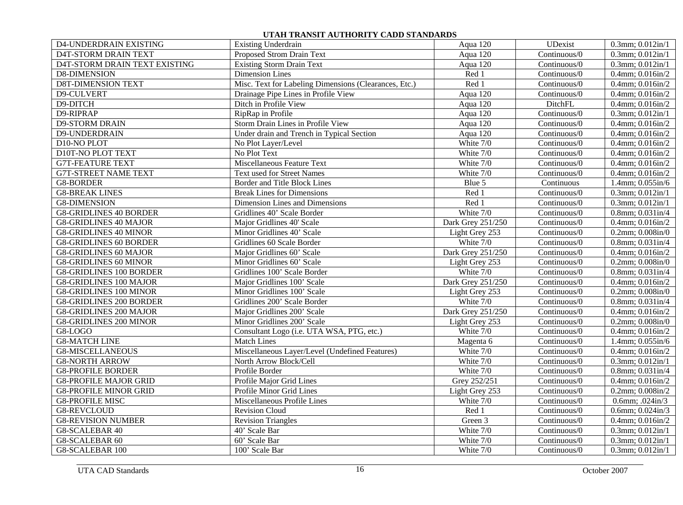| D4-UNDERDRAIN EXISTING         | <b>Existing Underdrain</b>                            | Aqua 120          | <b>UDexist</b>                    | $0.3$ mm; $0.012$ in/1      |
|--------------------------------|-------------------------------------------------------|-------------------|-----------------------------------|-----------------------------|
| D4T-STORM DRAIN TEXT           | Proposed Strom Drain Text                             | Aqua 120          | Continuous/0                      | $0.3$ mm; $0.012$ in/1      |
| D4T-STORM DRAIN TEXT EXISTING  | <b>Existing Storm Drain Text</b>                      | Aqua 120          | Continuous/0                      | $0.3$ mm; $0.012$ in/1      |
| D8-DIMENSION                   | <b>Dimension Lines</b>                                | Red 1             | Continuous/0                      | 0.4mm; 0.016in/2            |
| <b>D8T-DIMENSION TEXT</b>      | Misc. Text for Labeling Dimensions (Clearances, Etc.) | Red 1             | Continuous/0                      | $0.4$ mm; $0.016$ in/2      |
| D9-CULVERT                     | Drainage Pipe Lines in Profile View                   | Aqua 120          | Continuous/0                      | $0.4$ mm; $0.016$ in/2      |
| D9-DITCH                       | Ditch in Profile View                                 | Aqua $120$        | DitchFL                           | $0.4$ mm; $0.016$ in/2      |
| D9-RIPRAP                      | RipRap in Profile                                     | Aqua 120          | Continuous/0                      | $0.3$ mm; $0.012$ in/1      |
| <b>D9-STORM DRAIN</b>          | Storm Drain Lines in Profile View                     | Aqua $120$        | $\overline{\text{Continuous}}$ /0 | $0.4$ mm; $0.016$ in/2      |
| D9-UNDERDRAIN                  | Under drain and Trench in Typical Section             | Aqua 120          | Continuous/0                      | 0.4mm; 0.016in/2            |
| D10-NO PLOT                    | No Plot Layer/Level                                   | White 7/0         | Continuous/0                      | $0.4$ mm; $0.016$ in/2      |
| D10T-NO PLOT TEXT              | No Plot Text                                          | White 7/0         | Continuous/0                      | $0.4$ mm; $0.016$ in/2      |
| <b>G7T-FEATURE TEXT</b>        | Miscellaneous Feature Text                            | White 7/0         | Continuous/0                      | $0.4$ mm; $0.016$ in/2      |
| <b>G7T-STREET NAME TEXT</b>    | <b>Text used for Street Names</b>                     | White 7/0         | Continuous/0                      | $0.4$ mm; $0.016$ in/2      |
| <b>G8-BORDER</b>               | Border and Title Block Lines                          | Blue 5            | Continuous                        | 1.4mm; 0.055in/6            |
| <b>G8-BREAK LINES</b>          | <b>Break Lines for Dimensions</b>                     | Red 1             | Continuous/0                      | $0.3$ mm; $0.012$ in/1      |
| <b>G8-DIMENSION</b>            | Dimension Lines and Dimensions                        | Red 1             | Continuous/0                      | $0.3$ mm; $0.012$ in/1      |
| <b>G8-GRIDLINES 40 BORDER</b>  | Gridlines 40' Scale Border                            | White 7/0         | $\overline{\text{Continuous}}$ /0 | $0.8$ mm; $0.031$ in/4      |
| <b>G8-GRIDLINES 40 MAJOR</b>   | Major Gridlines 40' Scale                             | Dark Grey 251/250 | Continuous/0                      | 0.4mm; 0.016in/2            |
| <b>G8-GRIDLINES 40 MINOR</b>   | Minor Gridlines 40' Scale                             | Light Grey 253    | Continuous/0                      | $0.2$ mm; $0.008$ in/ $0$   |
| <b>G8-GRIDLINES 60 BORDER</b>  | Gridlines 60 Scale Border                             | White 7/0         | Continuous/0                      | $0.8$ mm; $0.031$ in/4      |
| <b>G8-GRIDLINES 60 MAJOR</b>   | Major Gridlines 60' Scale                             | Dark Grey 251/250 | Continuous/0                      | $0.4$ mm; $0.016$ in/2      |
| <b>G8-GRIDLINES 60 MINOR</b>   | Minor Gridlines 60' Scale                             | Light Grey 253    | Continuous/0                      | $0.2$ mm; $0.008$ in/ $0$   |
| <b>G8-GRIDLINES 100 BORDER</b> | Gridlines 100' Scale Border                           | White 7/0         | Continuous/0                      | $0.8$ mm; $0.031$ in/4      |
| <b>G8-GRIDLINES 100 MAJOR</b>  | Major Gridlines 100' Scale                            | Dark Grey 251/250 | Continuous/0                      | $0.4$ mm; $0.016$ in/2      |
| <b>G8-GRIDLINES 100 MINOR</b>  | Minor Gridlines 100' Scale                            | Light Grey 253    | Continuous/0                      | $0.2$ mm; $0.008$ in/ $0$   |
| <b>G8-GRIDLINES 200 BORDER</b> | Gridlines 200' Scale Border                           | White 7/0         | Continuous/0                      | $0.8$ mm; $0.031$ in/4      |
| <b>G8-GRIDLINES 200 MAJOR</b>  | Major Gridlines 200' Scale                            | Dark Grey 251/250 | Continuous/0                      | $0.4$ mm; $0.016$ in/2      |
| <b>G8-GRIDLINES 200 MINOR</b>  | Minor Gridlines 200' Scale                            | Light Grey 253    | Continuous/0                      | $0.2$ mm; $0.008$ in/ $0$   |
| G8-LOGO                        | Consultant Logo (i.e. UTA WSA, PTG, etc.)             | White 7/0         | $\overline{\text{Continuous}}$ /0 | $0.4$ mm; $0.016$ in/2      |
| <b>G8-MATCH LINE</b>           | <b>Match Lines</b>                                    | Magenta 6         | Continuous/0                      | 1.4mm; 0.055in/6            |
| <b>G8-MISCELLANEOUS</b>        | Miscellaneous Layer/Level (Undefined Features)        | White 7/0         | Continuous/0                      | 0.4mm; 0.016in/2            |
| <b>G8-NORTH ARROW</b>          | North Arrow Block/Cell                                | White 7/0         | Continuous/0                      | $0.3$ mm; $0.012$ in/1      |
| <b>G8-PROFILE BORDER</b>       | Profile Border                                        | White 7/0         | Continuous/0                      | $0.8$ mm; $0.031$ in/4      |
| <b>G8-PROFILE MAJOR GRID</b>   | Profile Major Grid Lines                              | Grey 252/251      | Continuous/0                      | $0.4$ mm; $0.016$ in/2      |
| <b>G8-PROFILE MINOR GRID</b>   | Profile Minor Grid Lines                              | Light Grey 253    | Continuous/0                      | 0.2mm; 0.008in/2            |
| <b>G8-PROFILE MISC</b>         | Miscellaneous Profile Lines                           | White 7/0         | Continuous/0                      | 0.6mm; $.024 \text{in} / 3$ |
| G8-REVCLOUD                    | <b>Revision Cloud</b>                                 | Red 1             | $\overline{\text{Continuous}}$ /0 | $0.6$ mm; $0.024$ in/3      |
| <b>G8-REVISION NUMBER</b>      | <b>Revision Triangles</b>                             | Green 3           | Continuous/0                      | $0.4$ mm; $0.016$ in/2      |
| G8-SCALEBAR 40                 | 40' Scale Bar                                         | White 7/0         | $\overline{\text{Continuous}}$ /0 | $0.3$ mm; $0.012$ in/1      |
| G8-SCALEBAR 60                 | 60' Scale Bar                                         | White 7/0         | Continuous/0                      | $0.3$ mm; $0.012$ in/1      |
| <b>G8-SCALEBAR 100</b>         | 100' Scale Bar                                        | White 7/0         | Continuous/0                      | $0.3$ mm; $0.012$ in/1      |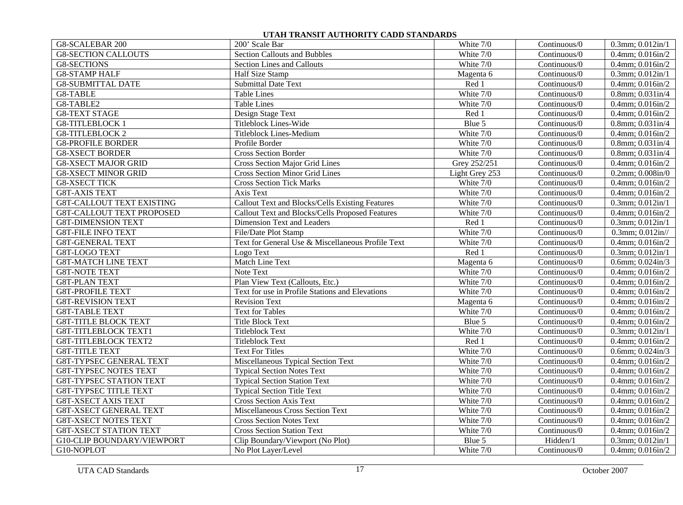| G8-SCALEBAR 200                  | 200' Scale Bar                                         | White 7/0      | Continuous/0                      | $0.3$ mm; $0.012$ in/1         |
|----------------------------------|--------------------------------------------------------|----------------|-----------------------------------|--------------------------------|
| <b>G8-SECTION CALLOUTS</b>       | <b>Section Callouts and Bubbles</b>                    | White 7/0      | Continuous/0                      | $0.4$ mm; $0.016$ in/2         |
| <b>G8-SECTIONS</b>               | Section Lines and Callouts                             | White 7/0      | Continuous/0                      | $0.4$ mm; $0.016$ in/2         |
| <b>G8-STAMP HALF</b>             | <b>Half Size Stamp</b>                                 | Magenta 6      | Continuous/0                      | $0.3$ mm; $0.012$ in/1         |
| <b>G8-SUBMITTAL DATE</b>         | <b>Submittal Date Text</b>                             | Red 1          | Continuous/0                      | $0.4$ mm; $0.016$ in/2         |
| G8-TABLE                         | <b>Table Lines</b>                                     | White 7/0      | Continuous/0                      | $0.8$ mm; $0.031$ in/4         |
| G8-TABLE2                        | <b>Table Lines</b>                                     | White 7/0      | Continuous/0                      | $0.4$ mm; $0.016$ in/2         |
| <b>G8-TEXT STAGE</b>             | Design Stage Text                                      | Red 1          | Continuous/0                      | $0.4$ mm; $0.016$ in/2         |
| <b>G8-TITLEBLOCK 1</b>           | <b>Titleblock Lines-Wide</b>                           | Blue 5         | Continuous/0                      | $0.8$ mm; $0.031$ in/4         |
| <b>G8-TITLEBLOCK 2</b>           | <b>Titleblock Lines-Medium</b>                         | White 7/0      | Continuous/0                      | $0.4$ mm; $0.016$ in/2         |
| <b>G8-PROFILE BORDER</b>         | Profile Border                                         | White $7/0$    | Continuous/0                      | $0.8$ mm; $0.031$ in/4         |
| <b>G8-XSECT BORDER</b>           | <b>Cross Section Border</b>                            | White 7/0      | Continuous/0                      | $0.8$ mm; $0.031$ in/4         |
| <b>G8-XSECT MAJOR GRID</b>       | Cross Section Major Grid Lines                         | Grey 252/251   | Continuous/0                      | $0.4$ mm; $0.016$ in/2         |
| <b>G8-XSECT MINOR GRID</b>       | <b>Cross Section Minor Grid Lines</b>                  | Light Grey 253 | Continuous/0                      | $0.2$ mm; $0.008$ in/ $0$      |
| <b>G8-XSECT TICK</b>             | <b>Cross Section Tick Marks</b>                        | White 7/0      | Continuous/0                      | $0.4$ mm; $0.016$ in/2         |
| <b>G8T-AXIS TEXT</b>             | Axis Text                                              | White 7/0      | Continuous/0                      | 0.4mm; $0.016 \text{in} / 2$   |
| <b>G8T-CALLOUT TEXT EXISTING</b> | <b>Callout Text and Blocks/Cells Existing Features</b> | White 7/0      | Continuous/0                      | $0.3$ mm; $0.012$ in/1         |
| <b>G8T-CALLOUT TEXT PROPOSED</b> | Callout Text and Blocks/Cells Proposed Features        | White 7/0      | Continuous/0                      | $0.4$ mm; $0.016$ in/2         |
| <b>G8T-DIMENSION TEXT</b>        | Dimension Text and Leaders                             | Red 1          | Continuous/0                      | $\overline{0.3}$ mm; 0.012in/1 |
| <b>G8T-FILE INFO TEXT</b>        | File/Date Plot Stamp                                   | White 7/0      | Continuous/0                      | $0.3$ mm; $0.012$ in//         |
| <b>G8T-GENERAL TEXT</b>          | Text for General Use & Miscellaneous Profile Text      | White 7/0      | Continuous/0                      | $0.4$ mm; $0.016$ in/2         |
| G8T-LOGO TEXT                    | Logo Text                                              | Red 1          | Continuous/0                      | $0.3$ mm; $0.012$ in/1         |
| <b>G8T-MATCH LINE TEXT</b>       | Match Line Text                                        | Magenta 6      | Continuous/0                      | 0.6mm; $0.024 \text{ in} / 3$  |
| <b>G8T-NOTE TEXT</b>             | Note Text                                              | White 7/0      | Continuous/0                      | $0.4$ mm; $0.016$ in/2         |
| <b>G8T-PLAN TEXT</b>             | Plan View Text (Callouts, Etc.)                        | White 7/0      | Continuous/0                      | $0.4$ mm; $0.016$ in/2         |
| <b>G8T-PROFILE TEXT</b>          | Text for use in Profile Stations and Elevations        | White 7/0      | Continuous/0                      | $0.4$ mm; $0.016$ in/2         |
| <b>G8T-REVISION TEXT</b>         | <b>Revision Text</b>                                   | Magenta 6      | Continuous/0                      | $0.4$ mm; $0.016$ in/2         |
| <b>G8T-TABLE TEXT</b>            | <b>Text for Tables</b>                                 | White 7/0      | Continuous/0                      | $0.4$ mm; $0.016$ in/2         |
| <b>G8T-TITLE BLOCK TEXT</b>      | <b>Title Block Text</b>                                | Blue 5         | Continuous/0                      | $0.4$ mm; $0.016$ in/2         |
| <b>G8T-TITLEBLOCK TEXT1</b>      | <b>Titleblock Text</b>                                 | White 7/0      | Continuous/0                      | $0.3$ mm; $0.012$ in/1         |
| <b>G8T-TITLEBLOCK TEXT2</b>      | <b>Titleblock Text</b>                                 | Red 1          | Continuous/0                      | $0.4$ mm; $0.016$ in/2         |
| <b>G8T-TITLE TEXT</b>            | <b>Text For Titles</b>                                 | White $7/0$    | Continuous/0                      | $0.6$ mm; $0.024$ in/3         |
| <b>G8T-TYPSEC GENERAL TEXT</b>   | Miscellaneous Typical Section Text                     | White 7/0      | Continuous/0                      | $0.4$ mm; $0.016$ in/2         |
| <b>G8T-TYPSEC NOTES TEXT</b>     | <b>Typical Section Notes Text</b>                      | White $7/0$    | Continuous/0                      | $0.4$ mm; $0.016$ in/2         |
| <b>G8T-TYPSEC STATION TEXT</b>   | <b>Typical Section Station Text</b>                    | White 7/0      | Continuous/0                      | $0.4$ mm; $0.016$ in/2         |
| <b>G8T-TYPSEC TITLE TEXT</b>     | <b>Typical Section Title Text</b>                      | White 7/0      | Continuous/0                      | $0.4$ mm; $0.016$ in/2         |
| <b>G8T-XSECT AXIS TEXT</b>       | <b>Cross Section Axis Text</b>                         | White 7/0      | Continuous/0                      | $0.4$ mm; $0.016$ in/2         |
| <b>G8T-XSECT GENERAL TEXT</b>    | Miscellaneous Cross Section Text                       | White 7/0      | Continuous/0                      | $0.4$ mm; $0.016$ in/2         |
| <b>G8T-XSECT NOTES TEXT</b>      | <b>Cross Section Notes Text</b>                        | White 7/0      | Continuous/0                      | $0.4$ mm; $0.016$ in/2         |
| <b>G8T-XSECT STATION TEXT</b>    | <b>Cross Section Station Text</b>                      | White 7/0      | $\overline{\text{Continuous}}$ /0 | $0.4$ mm; $0.016$ in/2         |
| G10-CLIP BOUNDARY/VIEWPORT       | Clip Boundary/Viewport (No Plot)                       | Blue 5         | Hidden/1                          | $0.3$ mm; $0.012$ in/1         |
| G10-NOPLOT                       | No Plot Layer/Level                                    | White 7/0      | Continuous/0                      | $0.4$ mm; $0.016$ in/2         |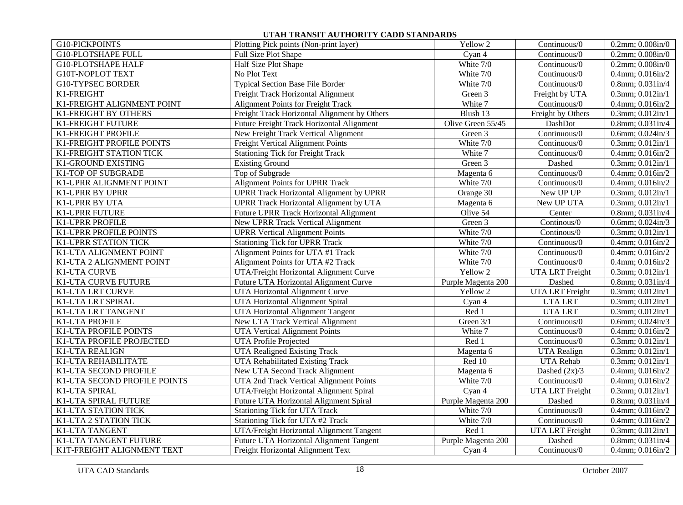| G10-PICKPOINTS               | Plotting Pick points (Non-print layer)         | Yellow 2           | Continuous/0           | $0.2$ mm; $0.008$ in/ $0$ |
|------------------------------|------------------------------------------------|--------------------|------------------------|---------------------------|
| <b>G10-PLOTSHAPE FULL</b>    | Full Size Plot Shape                           | Cyan 4             | Continuous/0           | $0.2$ mm; $0.008$ in/ $0$ |
| <b>G10-PLOTSHAPE HALF</b>    | Half Size Plot Shape                           | White 7/0          | Continuous/0           | $0.2$ mm; $0.008$ in/ $0$ |
| <b>G10T-NOPLOT TEXT</b>      | No Plot Text                                   | White 7/0          | Continuous/0           | 0.4mm; 0.016in/2          |
| <b>G10-TYPSEC BORDER</b>     | Typical Section Base File Border               | White 7/0          | Continuous/0           | $0.8$ mm; $0.031$ in/4    |
| K1-FREIGHT                   | Freight Track Horizontal Alignment             | Green 3            | Freight by UTA         | $0.3$ mm; $0.012$ in/1    |
| K1-FREIGHT ALIGNMENT POINT   | Alignment Points for Freight Track             | White 7            | Continuous/0           | $0.4$ mm; $0.016$ in/2    |
| K1-FREIGHT BY OTHERS         | Freight Track Horizontal Alignment by Others   | Blush 13           | Freight by Others      | 0.3mm; 0.012in/1          |
| K1-FREIGHT FUTURE            | Future Freight Track Horizontal Alignment      | Olive Green 55/45  | DashDot                | $0.8$ mm; $0.031$ in/4    |
| K1-FREIGHT PROFILE           | New Freight Track Vertical Alignment           | Green 3            | Continuous/0           | 0.6mm; 0.024in/3          |
| K1-FREIGHT PROFILE POINTS    | Freight Vertical Alignment Points              | White 7/0          | Continuous/0           | $0.3$ mm; $0.012$ in/1    |
| K1-FREIGHT STATION TICK      | <b>Stationing Tick for Freight Track</b>       | White 7            | Continuous/0           | $0.4$ mm; $0.016$ in/2    |
| K1-GROUND EXISTING           | <b>Existing Ground</b>                         | Green 3            | Dashed                 | $0.3$ mm; $0.012$ in/1    |
| K1-TOP OF SUBGRADE           | Top of Subgrade                                | Magenta 6          | Continuous/0           | $0.4$ mm; $0.016$ in/2    |
| K1-UPRR ALIGNMENT POINT      | Alignment Points for UPRR Track                | White 7/0          | Continuous/0           | $0.4$ mm; $0.016$ in/2    |
| K1-UPRR BY UPRR              | <b>UPRR Track Horizontal Alignment by UPRR</b> | Orange 30          | New UP UP              | $0.3$ mm; $0.012$ in/1    |
| K1-UPRR BY UTA               | UPRR Track Horizontal Alignment by UTA         | Magenta 6          | New UP UTA             | $0.3$ mm; $0.012$ in/1    |
| K1-UPRR FUTURE               | Future UPRR Track Horizontal Alignment         | Olive 54           | Center                 | $0.8$ mm; $0.031$ in/4    |
| K1-UPRR PROFILE              | New UPRR Track Vertical Alignment              | Green 3            | Continous/0            | $0.6$ mm; $0.024$ in/3    |
| K1-UPRR PROFILE POINTS       | <b>UPRR</b> Vertical Alignment Points          | White 7/0          | Continous/0            | $0.3$ mm; $0.012$ in/1    |
| K1-UPRR STATION TICK         | <b>Stationing Tick for UPRR Track</b>          | White 7/0          | Continuous/0           | 0.4mm; 0.016in/2          |
| K1-UTA ALIGNMENT POINT       | Alignment Points for UTA #1 Track              | White 7/0          | Continuous/0           | 0.4mm; 0.016in/2          |
| K1-UTA 2 ALIGNMENT POINT     | Alignment Points for UTA #2 Track              | White 7/0          | Continuous/0           | $0.4$ mm; $0.016$ in/2    |
| K1-UTA CURVE                 | UTA/Freight Horizontal Alignment Curve         | Yellow 2           | <b>UTA LRT</b> Freight | $0.3$ mm; $0.012$ in/1    |
| K1-UTA CURVE FUTURE          | Future UTA Horizontal Alignment Curve          | Purple Magenta 200 | Dashed                 | $0.8$ mm; $0.031$ in/4    |
| K1-UTA LRT CURVE             | UTA Horizontal Alignment Curve                 | Yellow 2           | <b>UTA LRT</b> Freight | 0.3mm; 0.012in/1          |
| K1-UTA LRT SPIRAL            | UTA Horizontal Alignment Spiral                | Cyan 4             | <b>UTA LRT</b>         | $0.3$ mm; $0.012$ in/1    |
| K1-UTA LRT TANGENT           | UTA Horizontal Alignment Tangent               | Red 1              | <b>UTA LRT</b>         | $0.3$ mm; $0.012$ in/1    |
| K1-UTA PROFILE               | New UTA Track Vertical Alignment               | Green 3/1          | Continuous/0           | $0.6$ mm; $0.024$ in/3    |
| K1-UTA PROFILE POINTS        | <b>UTA Vertical Alignment Points</b>           | White 7            | Continuous/0           | $0.4$ mm; $0.016$ in/2    |
| K1-UTA PROFILE PROJECTED     | <b>UTA Profile Projected</b>                   | Red 1              | Continuous/0           | $0.3$ mm; $0.012$ in/1    |
| K1-UTA REALIGN               | <b>UTA Realigned Existing Track</b>            | Magenta 6          | <b>UTA</b> Realign     | $0.3$ mm; $0.012$ in/1    |
| K1-UTA REHABILITATE          | UTA Rehabilitated Existing Track               | Red 10             | <b>UTA Rehab</b>       | 0.3mm; 0.012in/1          |
| K1-UTA SECOND PROFILE        | New UTA Second Track Alignment                 | Magenta 6          | Dashed $(2x)/3$        | $0.4$ mm; $0.016$ in/2    |
| K1-UTA SECOND PROFILE POINTS | UTA 2nd Track Vertical Alignment Points        | White 7/0          | Continuous/0           | $0.4$ mm; $0.016$ in/2    |
| K1-UTA SPIRAL                | UTA/Freight Horizontal Alignment Spiral        | Cyan 4             | <b>UTA LRT</b> Freight | 0.3mm; 0.012in/1          |
| K1-UTA SPIRAL FUTURE         | Future UTA Horizontal Alignment Spiral         | Purple Magenta 200 | Dashed                 | $0.8$ mm; $0.031$ in/4    |
| K1-UTA STATION TICK          | <b>Stationing Tick for UTA Track</b>           | White 7/0          | Continuous/0           | $0.4$ mm; $0.016$ in/2    |
| K1-UTA 2 STATION TICK        | Stationing Tick for UTA #2 Track               | White 7/0          | Continuous/0           | 0.4mm; 0.016in/2          |
| K1-UTA TANGENT               | UTA/Freight Horizontal Alignment Tangent       | Red 1              | UTA LRT Freight        | $0.3$ mm; $0.012$ in/1    |
| K1-UTA TANGENT FUTURE        | Future UTA Horizontal Alignment Tangent        | Purple Magenta 200 | Dashed                 | $0.8$ mm; $0.031$ in/4    |
| K1T-FREIGHT ALIGNMENT TEXT   | Freight Horizontal Alignment Text              | Cyan 4             | Continuous/0           | $0.4$ mm; $0.016$ in/2    |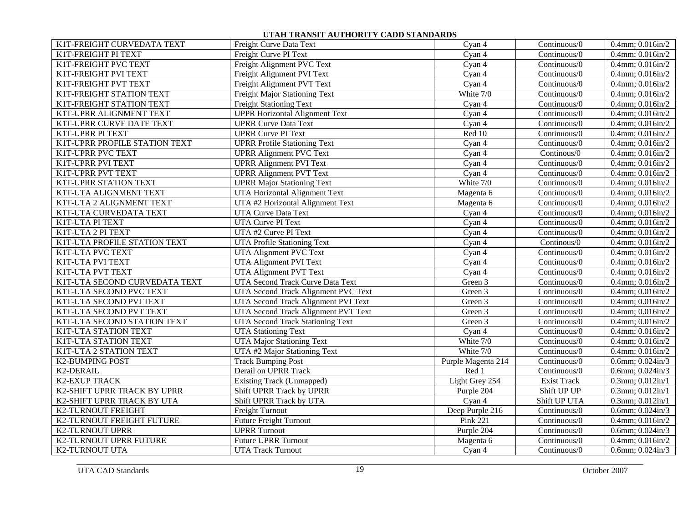| K1T-FREIGHT CURVEDATA TEXT    | Freight Curve Data Text                 | Cyan 4             | Continuous/0                      | $0.4$ mm; $0.016$ in/2        |
|-------------------------------|-----------------------------------------|--------------------|-----------------------------------|-------------------------------|
| K1T-FREIGHT PI TEXT           | Freight Curve PI Text                   | Cyan 4             | Continuous/0                      | $0.4$ mm; $0.016$ in/2        |
| K1T-FREIGHT PVC TEXT          | Freight Alignment PVC Text              | Cyan 4             | $\overline{\text{Continuous}}$ /0 | $0.4$ mm; $0.016$ in/2        |
| K1T-FREIGHT PVI TEXT          | Freight Alignment PVI Text              | Cyan 4             | Continuous/0                      | 0.4mm; 0.016in/2              |
| K1T-FREIGHT PVT TEXT          | Freight Alignment PVT Text              | Cyan 4             | Continuous/0                      | 0.4mm; 0.016in/2              |
| K1T-FREIGHT STATION TEXT      | <b>Freight Major Stationing Text</b>    | White 7/0          | Continuous/0                      | $0.4$ mm; $0.016$ in/2        |
| K1T-FREIGHT STATION TEXT      | <b>Freight Stationing Text</b>          | Cyan 4             | Continuous/0                      | $0.4$ mm; $0.016$ in/2        |
| K1T-UPRR ALIGNMENT TEXT       | <b>UPPR Horizontal Alignment Text</b>   | Cyan 4             | Continuous/0                      | 0.4mm; $0.016i\overline{n/2}$ |
| K1T-UPRR CURVE DATE TEXT      | <b>UPRR Curve Data Text</b>             | Cyan 4             | Continuous/0                      | $0.4$ mm; $0.016$ in/2        |
| K1T-UPRR PI TEXT              | <b>UPRR Curve PI Text</b>               | Red 10             | Continuous/0                      | $0.4$ mm; $0.016$ in/2        |
| K1T-UPRR PROFILE STATION TEXT | <b>UPRR Profile Stationing Text</b>     | Cyan 4             | $\overline{\text{Continuous}}$ /0 | $0.4$ mm; $0.016$ in/2        |
| K1T-UPRR PVC TEXT             | <b>UPRR Alignment PVC Text</b>          | Cyan 4             | Continous/0                       | $0.4$ mm; $0.016$ in/2        |
| K1T-UPRR PVI TEXT             | <b>UPRR Alignment PVI Text</b>          | Cyan 4             | Continuous/0                      | $0.4$ mm; $0.016$ in/2        |
| K1T-UPRR PVT TEXT             | <b>UPRR Alignment PVT Text</b>          | Cyan 4             | Continuous/0                      | $0.4$ mm; $0.016$ in/2        |
| K1T-UPRR STATION TEXT         | <b>UPRR Major Stationing Text</b>       | White 7/0          | Continuous/0                      | $0.4$ mm; $0.016$ in/2        |
| K1T-UTA ALIGNMENT TEXT        | UTA Horizontal Alignment Text           | Magenta 6          | Continuous/0                      | $0.4$ mm; $0.016$ in/2        |
| K1T-UTA 2 ALIGNMENT TEXT      | UTA #2 Horizontal Alignment Text        | Magenta 6          | Continuous/0                      | $0.4$ mm; $0.016$ in/2        |
| K1T-UTA CURVEDATA TEXT        | <b>UTA Curve Data Text</b>              | Cyan 4             | Continuous/0                      | $0.4$ mm; $0.016$ in/2        |
| K1T-UTA PI TEXT               | <b>UTA Curve PI Text</b>                | Cyan 4             | Continuous/0                      | $0.4$ mm; $0.016$ in/2        |
| K1T-UTA 2 PI TEXT             | UTA #2 Curve PI Text                    | Cyan 4             | Continuous/0                      | $0.4$ mm; $0.016$ in/2        |
| K1T-UTA PROFILE STATION TEXT  | <b>UTA Profile Stationing Text</b>      | Cyan 4             | Continous/0                       | $0.4$ mm; $0.016$ in/2        |
| K1T-UTA PVC TEXT              | UTA Alignment PVC Text                  | Cyan 4             | Continuous/0                      | $0.4$ mm; $0.016$ in/2        |
| K1T-UTA PVI TEXT              | UTA Alignment PVI Text                  | Cyan 4             | Continuous/0                      | $0.4$ mm; $0.016$ in/2        |
| K1T-UTA PVT TEXT              | UTA Alignment PVT Text                  | Cyan 4             | Continuous/0                      | $0.4$ mm; $0.016$ in/2        |
| K1T-UTA SECOND CURVEDATA TEXT | UTA Second Track Curve Data Text        | Green 3            | Continuous/0                      | $0.4$ mm; $0.016$ in/2        |
| K1T-UTA SECOND PVC TEXT       | UTA Second Track Alignment PVC Text     | Green 3            | Continuous/0                      | $0.4$ mm; $0.016$ in/2        |
| K1T-UTA SECOND PVI TEXT       | UTA Second Track Alignment PVI Text     | Green 3            | Continuous/0                      | $0.4$ mm; $0.016$ in/2        |
| K1T-UTA SECOND PVT TEXT       | UTA Second Track Alignment PVT Text     | Green 3            | Continuous/0                      | 0.4mm; 0.016in/2              |
| K1T-UTA SECOND STATION TEXT   | <b>UTA Second Track Stationing Text</b> | Green 3            | $\overline{\text{Continuous}}$ /0 | $0.4$ mm; $0.016$ in/2        |
| K1T-UTA STATION TEXT          | <b>UTA Stationing Text</b>              | Cyan 4             | Continuous/0                      | $0.4$ mm; $0.016$ in/2        |
| K1T-UTA STATION TEXT          | <b>UTA Major Stationing Text</b>        | White 7/0          | Continuous/0                      | $0.4$ mm; $0.016$ in/2        |
| K1T-UTA 2 STATION TEXT        | UTA #2 Major Stationing Text            | White 7/0          | Continuous/0                      | 0.4mm; 0.016in/2              |
| <b>K2-BUMPING POST</b>        | <b>Track Bumping Post</b>               | Purple Magenta 214 | Continuous/0                      | $0.6$ mm; $0.024$ in/3        |
| K2-DERAIL                     | Derail on UPRR Track                    | Red 1              | Continuous/0                      | 0.6mm; 0.024in/3              |
| <b>K2-EXUP TRACK</b>          | <b>Existing Track (Unmapped)</b>        | Light Grey 254     | <b>Exist Track</b>                | $0.3$ mm; $0.012$ in/1        |
| K2-SHIFT UPRR TRACK BY UPRR   | Shift UPRR Track by UPRR                | Purple 204         | Shift UP UP                       | $0.3$ mm; $0.012$ in/1        |
| K2-SHIFT UPRR TRACK BY UTA    | Shift UPRR Track by UTA                 | Cyan 4             | Shift UP UTA                      | $0.3$ mm; $0.012$ in/1        |
| <b>K2-TURNOUT FREIGHT</b>     | <b>Freight Turnout</b>                  | Deep Purple 216    | Continuous/0                      | $0.6$ mm; $0.024$ in/3        |
| K2-TURNOUT FREIGHT FUTURE     | <b>Future Freight Turnout</b>           | <b>Pink 221</b>    | Continuous/0                      | $0.4$ mm; $0.016$ in/2        |
| K2-TURNOUT UPRR               | <b>UPRR</b> Turnout                     | Purple 204         | Continuous/0                      | $0.6$ mm; $0.024$ in/3        |
| K2-TURNOUT UPRR FUTURE        | <b>Future UPRR Turnout</b>              | Magenta 6          | Continuous/0                      | $0.4$ mm; $0.016$ in/2        |
| K2-TURNOUT UTA                | <b>UTA Track Turnout</b>                | Cyan 4             | Continuous/0                      | 0.6mm; $0.024 \text{in} / 3$  |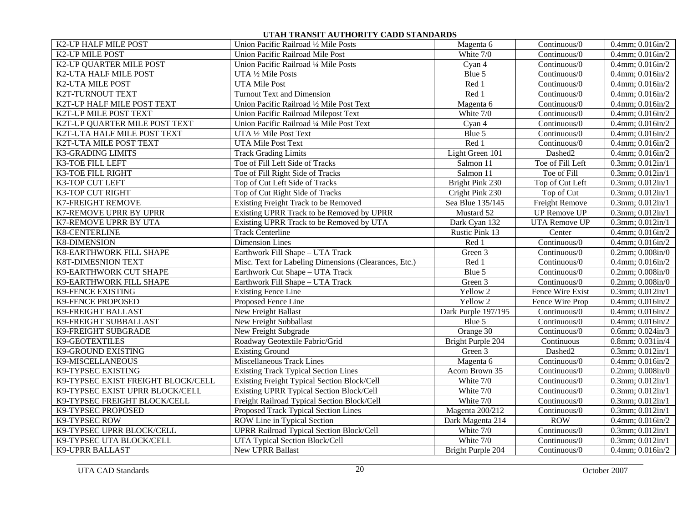| K2-UP HALF MILE POST               | Union Pacific Railroad 1/2 Mile Posts                 | Magenta 6           | Continuous/0                      | $0.4$ mm; $0.016$ in/2    |
|------------------------------------|-------------------------------------------------------|---------------------|-----------------------------------|---------------------------|
| <b>K2-UP MILE POST</b>             | <b>Union Pacific Railroad Mile Post</b>               | White 7/0           | Continuous/0                      | $0.4$ mm; $0.016$ in/2    |
| K2-UP QUARTER MILE POST            | Union Pacific Railroad 1/4 Mile Posts                 | Cyan 4              | Continuous/0                      | $0.4$ mm; $0.016$ in/2    |
| K2-UTA HALF MILE POST              | UTA 1/2 Mile Posts                                    | Blue 5              | Continuous/0                      | $0.4$ mm; $0.016$ in/2    |
| <b>K2-UTA MILE POST</b>            | <b>UTA Mile Post</b>                                  | Red 1               | Continuous/0                      | $0.4$ mm; $0.016$ in/2    |
| K2T-TURNOUT TEXT                   | <b>Turnout Text and Dimension</b>                     | Red 1               | Continuous/0                      | $0.4$ mm; $0.016$ in/2    |
| K2T-UP HALF MILE POST TEXT         | Union Pacific Railroad 1/2 Mile Post Text             | Magenta 6           | Continuous/0                      | $0.4$ mm; $0.016$ in/2    |
| K2T-UP MILE POST TEXT              | Union Pacific Railroad Milepost Text                  | White 7/0           | Continuous/0                      | $0.4$ mm; $0.016$ in/2    |
| K2T-UP QUARTER MILE POST TEXT      | Union Pacific Railroad 1/4 Mile Post Text             | Cyan 4              | Continuous/0                      | 0.4mm; 0.016in/2          |
| K2T-UTA HALF MILE POST TEXT        | UTA 1/2 Mile Post Text                                | Blue 5              | Continuous/0                      | $0.4$ mm; $0.016$ in/2    |
| K2T-UTA MILE POST TEXT             | <b>UTA Mile Post Text</b>                             | Red 1               | Continuous/0                      | $0.4$ mm; $0.016$ in/2    |
| <b>K3-GRADING LIMITS</b>           | <b>Track Grading Limits</b>                           | Light Green 101     | Dashed2                           | $0.4$ mm; $0.016$ in/2    |
| K3-TOE FILL LEFT                   | Toe of Fill Left Side of Tracks                       | Salmon 11           | Toe of Fill Left                  | $0.3$ mm; $0.012$ in/1    |
| K3-TOE FILL RIGHT                  | Toe of Fill Right Side of Tracks                      | Salmon 11           | Toe of Fill                       | $0.3$ mm; $0.012$ in/1    |
| K3-TOP CUT LEFT                    | Top of Cut Left Side of Tracks                        | Bright Pink 230     | Top of Cut Left                   | $0.3$ mm; $0.012$ in/1    |
| K3-TOP CUT RIGHT                   | Top of Cut Right Side of Tracks                       | Cright Pink 230     | Top of Cut                        | $0.3$ mm; $0.012$ in/1    |
| K7-FREIGHT REMOVE                  | Existing Freight Track to be Removed                  | Sea Blue 135/145    | Freight Remove                    | $0.3$ mm; $0.012$ in/1    |
| K7-REMOVE UPRR BY UPRR             | Existing UPRR Track to be Removed by UPRR             | Mustard 52          | <b>UP Remove UP</b>               | $0.3$ mm; $0.012$ in/1    |
| K7-REMOVE UPRR BY UTA              | Existing UPRR Track to be Removed by UTA              | Dark Cyan 132       | UTA Remove UP                     | 0.3mm; 0.012in/1          |
| <b>K8-CENTERLINE</b>               | <b>Track Centerline</b>                               | Rustic Pink 13      | Center                            | $0.4$ mm; $0.016$ in/2    |
| <b>K8-DIMENSION</b>                | <b>Dimension Lines</b>                                | Red 1               | Continuous/0                      | $0.4$ mm; $0.016$ in/2    |
| <b>K8-EARTHWORK FILL SHAPE</b>     | Earthwork Fill Shape - UTA Track                      | Green 3             | Continuous/0                      | $0.2$ mm; $0.008$ in/ $0$ |
| <b>K8T-DIMESNION TEXT</b>          | Misc. Text for Labeling Dimensions (Clearances, Etc.) | Red 1               | Continuous/0                      | $0.4$ mm; $0.016$ in/2    |
| K9-EARTHWORK CUT SHAPE             | Earthwork Cut Shape - UTA Track                       | Blue 5              | Continuous/0                      | $0.2$ mm; $0.008$ in/ $0$ |
| K9-EARTHWORK FILL SHAPE            | Earthwork Fill Shape - UTA Track                      | Green 3             | Continuous/0                      | $0.2$ mm; $0.008$ in/ $0$ |
| K9-FENCE EXISTING                  | <b>Existing Fence Line</b>                            | Yellow 2            | Fence Wire Exist                  | $0.3$ mm; $0.012$ in/1    |
| K9-FENCE PROPOSED                  | Proposed Fence Line                                   | Yellow 2            | Fence Wire Prop                   | $0.4$ mm; $0.016$ in/2    |
| K9-FREIGHT BALLAST                 | New Freight Ballast                                   | Dark Purple 197/195 | Continuous/0                      | 0.4mm; 0.016in/2          |
| K9-FREIGHT SUBBALLAST              | New Freight Subballast                                | Blue 5              | Continuous/0                      | $0.4$ mm; $0.016$ in/2    |
| K9-FREIGHT SUBGRADE                | New Freight Subgrade                                  | Orange 30           | Continuous/0                      | $0.6$ mm; $0.024$ in/3    |
| K9-GEOTEXTILES                     | Roadway Geotextile Fabric/Grid                        | Bright Purple 204   | Continuous                        | $0.8$ mm; $0.031$ in/4    |
| K9-GROUND EXISTING                 | <b>Existing Ground</b>                                | Green 3             | Dashed2                           | $0.3$ mm; $0.012$ in/1    |
| K9-MISCELLANEOUS                   | <b>Miscellaneous Track Lines</b>                      | Magenta 6           | Continuous/0                      | $0.4$ mm; $0.016$ in/2    |
| K9-TYPSEC EXISTING                 | <b>Existing Track Typical Section Lines</b>           | Acorn Brown 35      | Continuous/0                      | $0.2$ mm; $0.008$ in/ $0$ |
| K9-TYPSEC EXIST FREIGHT BLOCK/CELL | Existing Freight Typical Section Block/Cell           | White 7/0           | $\overline{\text{Continuous}}$ /0 | $0.3$ mm; $0.012$ in/1    |
| K9-TYPSEC EXIST UPRR BLOCK/CELL    | Existing UPRR Typical Section Block/Cell              | White 7/0           | $\overline{\text{Continuous}}$ /0 | $0.3$ mm; $0.012$ in/1    |
| K9-TYPSEC FREIGHT BLOCK/CELL       | Freight Railroad Typical Section Block/Cell           | White 7/0           | Continuous/0                      | $0.3$ mm; $0.012$ in/1    |
| K9-TYPSEC PROPOSED                 | Proposed Track Typical Section Lines                  | Magenta 200/212     | Continuous/0                      | $0.3$ mm; $0.012$ in/1    |
| <b>K9-TYPSEC ROW</b>               | ROW Line in Typical Section                           | Dark Magenta 214    | <b>ROW</b>                        | $0.4$ mm; $0.016$ in/2    |
| K9-TYPSEC UPRR BLOCK/CELL          | <b>UPRR Railroad Typical Section Block/Cell</b>       | White 7/0           | Continuous/0                      | $0.3$ mm; $0.012$ in/1    |
| K9-TYPSEC UTA BLOCK/CELL           | UTA Typical Section Block/Cell                        | White 7/0           | Continuous/0                      | $0.3$ mm; $0.012$ in/1    |
| <b>K9-UPRR BALLAST</b>             | New UPRR Ballast                                      | Bright Purple 204   | Continuous/0                      | $0.4$ mm; $0.016$ in/2    |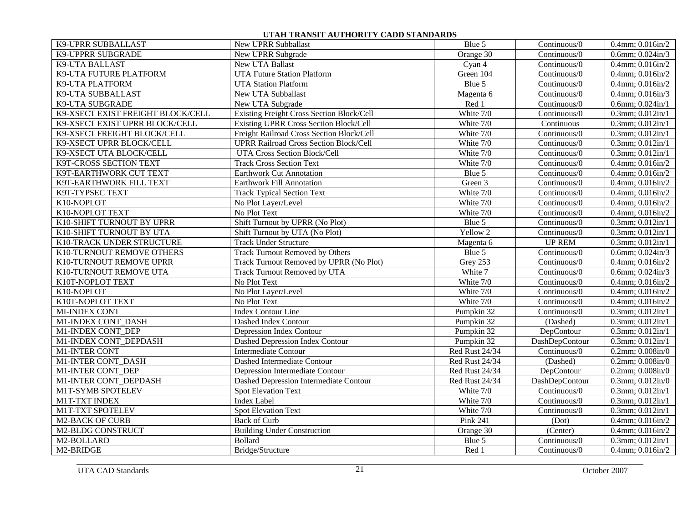| <b>K9-UPRR SUBBALLAST</b>         | New UPRR Subballast                              | Blue 5          | Continuous/0                      | $0.4$ mm; $0.016$ in/2    |
|-----------------------------------|--------------------------------------------------|-----------------|-----------------------------------|---------------------------|
| K9-UPPRR SUBGRADE                 | New UPRR Subgrade                                | Orange 30       | Continuous/0                      | $0.6$ mm; $0.024$ in/3    |
| <b>K9-UTA BALLAST</b>             | New UTA Ballast                                  | Cyan 4          | $\overline{\text{Continuous}}$ /0 | $0.4$ mm; $0.016$ in/2    |
| K9-UTA FUTURE PLATFORM            | <b>UTA Future Station Platform</b>               | Green 104       | Continuous/0                      | 0.4mm; 0.016in/2          |
| K9-UTA PLATFORM                   | <b>UTA Station Platform</b>                      | Blue 5          | Continuous/0                      | $0.4$ mm; $0.016$ in/2    |
| K9-UTA SUBBALLAST                 | New UTA Subballast                               | Magenta 6       | Continuous/0                      | $0.4$ mm; $0.016$ in/3    |
| K9-UTA SUBGRADE                   | New UTA Subgrade                                 | Red 1           | Continuous/0                      | $0.6$ mm; $0.024$ in/1    |
| K9-XSECT EXIST FREIGHT BLOCK/CELL | <b>Existing Freight Cross Section Block/Cell</b> | White 7/0       | Continuous/0                      | $0.3$ mm; $0.012$ in/1    |
| K9-XSECT EXIST UPRR BLOCK/CELL    | Existing UPRR Cross Section Block/Cell           | White 7/0       | Continuous                        | $0.3$ mm; $0.012$ in/1    |
| K9-XSECT FREIGHT BLOCK/CELL       | Freight Railroad Cross Section Block/Cell        | White 7/0       | Continuous/0                      | $0.3$ mm; $0.012$ in/1    |
| K9-XSECT UPRR BLOCK/CELL          | <b>UPRR Railroad Cross Section Block/Cell</b>    | White 7/0       | Continuous/0                      | $0.3$ mm; $0.012$ in/1    |
| K9-XSECT UTA BLOCK/CELL           | UTA Cross Section Block/Cell                     | White 7/0       | Continuous/0                      | $0.3$ mm; $0.012$ in/1    |
| K9T-CROSS SECTION TEXT            | <b>Track Cross Section Text</b>                  | White 7/0       | Continuous/0                      | $0.4$ mm; $0.016$ in/2    |
| K9T-EARTHWORK CUT TEXT            | <b>Earthwork Cut Annotation</b>                  | Blue 5          | Continuous/0                      | $0.4$ mm; $0.016$ in/2    |
| K9T-EARTHWORK FILL TEXT           | Earthwork Fill Annotation                        | Green 3         | Continuous/0                      | $0.4$ mm; $0.016$ in/2    |
| K9T-TYPSEC TEXT                   | <b>Track Typical Section Text</b>                | White 7/0       | Continuous/0                      | $0.4$ mm; $0.016$ in/2    |
| K10-NOPLOT                        | No Plot Layer/Level                              | White 7/0       | $\overline{\text{Continuous}}$ /0 | 0.4mm; 0.016in/2          |
| K10-NOPLOT TEXT                   | No Plot Text                                     | White 7/0       | Continuous/0                      | $0.4$ mm; $0.016$ in/2    |
| K10-SHIFT TURNOUT BY UPRR         | Shift Turnout by UPRR (No Plot)                  | Blue 5          | Continuous/0                      | $0.3$ mm; $0.012$ in/1    |
| K10-SHIFT TURNOUT BY UTA          | Shift Turnout by UTA (No Plot)                   | Yellow 2        | Continuous/0                      | $0.3$ mm; $0.012$ in/1    |
| K10-TRACK UNDER STRUCTURE         | <b>Track Under Structure</b>                     | Magenta 6       | <b>UP REM</b>                     | $0.3$ mm; $0.012$ in/1    |
| K10-TURNOUT REMOVE OTHERS         | <b>Track Turnout Removed by Others</b>           | Blue 5          | Continuous/0                      | $0.6$ mm; $0.024$ in/3    |
| K10-TURNOUT REMOVE UPRR           | Track Turnout Removed by UPRR (No Plot)          | Grey 253        | Continuous/0                      | $0.4$ mm; $0.016$ in/2    |
| K10-TURNOUT REMOVE UTA            | Track Turnout Removed by UTA                     | White 7         | Continuous/0                      | $0.6$ mm; $0.024$ in/3    |
| K10T-NOPLOT TEXT                  | No Plot Text                                     | White 7/0       | Continuous/0                      | $0.4$ mm; $0.016$ in/2    |
| K10-NOPLOT                        | No Plot Layer/Level                              | White 7/0       | $\overline{\text{Continuous}}$ /0 | 0.4mm; 0.016in/2          |
| K10T-NOPLOT TEXT                  | No Plot Text                                     | White 7/0       | Continuous/0                      | $0.4$ mm; $0.016$ in/2    |
| <b>MI-INDEX CONT</b>              | <b>Index Contour Line</b>                        | Pumpkin 32      | Continuous/0                      | $0.3$ mm; $0.012$ in/1    |
| M1-INDEX CONT_DASH                | Dashed Index Contour                             | Pumpkin 32      | (Dashed)                          | $0.3$ mm; $0.012$ in/1    |
| M1-INDEX CONT DEP                 | Depression Index Contour                         | Pumpkin 32      | DepContour                        | $0.3$ mm; $0.012$ in/1    |
| M1-INDEX CONT_DEPDASH             | Dashed Depression Index Contour                  | Pumpkin 32      | DashDepContour                    | $0.3$ mm; $0.012$ in/1    |
| M1-INTER CONT                     | <b>Intermediate Contour</b>                      | Red Rust 24/34  | Continuous/0                      | $0.2$ mm; $0.008$ in/ $0$ |
| <b>M1-INTER CONT DASH</b>         | Dashed Intermediate Contour                      | Red Rust 24/34  | (Dashed)                          | $0.2$ mm; $0.008$ in/ $0$ |
| M1-INTER CONT_DEP                 | Depression Intermediate Contour                  | Red Rust 24/34  | DepContour                        | $0.2$ mm; $0.008$ in/ $0$ |
| M1-INTER CONT DEPDASH             | Dashed Depression Intermediate Contour           | Red Rust 24/34  | DashDepContour                    | $0.3$ mm; $0.012$ in/ $0$ |
| M1T-SYMB SPOTELEV                 | <b>Spot Elevation Text</b>                       | White 7/0       | Continuous/0                      | $0.3$ mm; $0.012$ in/1    |
| M1T-TXT INDEX                     | <b>Index Label</b>                               | White 7/0       | Continuous/0                      | $0.3$ mm; $0.012$ in/1    |
| M1T-TXT SPOTELEV                  | <b>Spot Elevation Text</b>                       | White 7/0       | Continuous/0                      | $0.3$ mm; $0.012$ in/1    |
| <b>M2-BACK OF CURB</b>            | <b>Back of Curb</b>                              | <b>Pink 241</b> | (Dot)                             | 0.4mm; 0.016in/2          |
| M2-BLDG CONSTRUCT                 | <b>Building Under Construction</b>               | Orange 30       | (Center)                          | 0.4mm; 0.016in/2          |
| M2-BOLLARD                        | <b>Bollard</b>                                   | Blue 5          | Continuous/0                      | $0.3$ mm; $0.012$ in/1    |
| M2-BRIDGE                         | Bridge/Structure                                 | Red 1           | Continuous/0                      | $0.4$ mm; $0.016$ in/2    |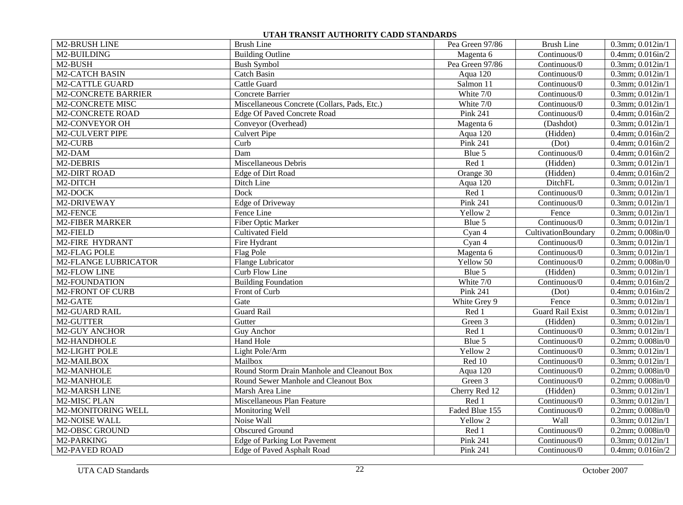| <b>M2-BRUSH LINE</b>        | <b>Brush Line</b>                            | Pea Green 97/86 | <b>Brush Line</b>                 | $0.3$ mm; $0.012$ in/1     |
|-----------------------------|----------------------------------------------|-----------------|-----------------------------------|----------------------------|
| M2-BUILDING                 | <b>Building Outline</b>                      | Magenta 6       | Continuous/0                      | $0.4$ mm; $0.016$ in/2     |
| M2-BUSH                     | <b>Bush Symbol</b>                           | Pea Green 97/86 | Continuous/0                      | $0.3$ mm; $0.012$ in/1     |
| <b>M2-CATCH BASIN</b>       | Catch Basin                                  | Aqua 120        | Continuous/0                      | $0.3$ mm; $0.012$ in/1     |
| <b>M2-CATTLE GUARD</b>      | Cattle Guard                                 | Salmon 11       | Continuous/0                      | $0.3$ mm; $0.012$ in/1     |
| <b>M2-CONCRETE BARRIER</b>  | Concrete Barrier                             | White 7/0       | Continuous/0                      | $0.3$ mm; $0.012$ in/1     |
| <b>M2-CONCRETE MISC</b>     | Miscellaneous Concrete (Collars, Pads, Etc.) | White 7/0       | Continuous/0                      | 0.3mm; $0.012 \text{in}/1$ |
| <b>M2-CONCRETE ROAD</b>     | <b>Edge Of Paved Concrete Road</b>           | <b>Pink 241</b> | Continuous/0                      | $0.4$ mm; $0.016$ in/2     |
| M2-CONVEYOR OH              | Conveyor (Overhead)                          | Magenta 6       | (Dashdot)                         | $0.3$ mm; $0.012$ in/1     |
| <b>M2-CULVERT PIPE</b>      | <b>Culvert Pipe</b>                          | Aqua 120        | (Hidden)                          | $0.4$ mm; $0.016$ in/2     |
| M2-CURB                     | Curb                                         | <b>Pink 241</b> | (Dot)                             | $0.4$ mm; $0.016$ in/2     |
| M2-DAM                      | Dam                                          | Blue 5          | Continuous/0                      | $0.4$ mm; $0.016$ in/2     |
| M2-DEBRIS                   | Miscellaneous Debris                         | Red 1           | (Hidden)                          | $0.3$ mm; $0.012$ in/1     |
| <b>M2-DIRT ROAD</b>         | Edge of Dirt Road                            | Orange 30       | (Hidden)                          | $0.4$ mm; $0.016$ in/2     |
| M2-DITCH                    | Ditch Line                                   | Aqua 120        | DitchFL                           | $0.3$ mm; $0.012$ in/1     |
| M2-DOCK                     | Dock                                         | Red 1           | Continuous/0                      | $0.3$ mm; $0.012$ in/1     |
| M2-DRIVEWAY                 | Edge of Driveway                             | <b>Pink 241</b> | Continuous/0                      | $0.3$ mm; $0.012$ in/1     |
| M2-FENCE                    | Fence Line                                   | Yellow 2        | Fence                             | $0.3$ mm; $0.012$ in/1     |
| <b>M2-FIBER MARKER</b>      | Fiber Optic Marker                           | Blue 5          | Continuous/0                      | $0.3$ mm; $0.012$ in/1     |
| M2-FIELD                    | <b>Cultivated Field</b>                      | Cyan 4          | CultivationBoundary               | $0.2$ mm; $0.008$ in/ $0$  |
| <b>M2-FIRE HYDRANT</b>      | Fire Hydrant                                 | Cyan 4          | Continuous/0                      | $0.3$ mm; $0.012$ in/1     |
| M2-FLAG POLE                | Flag Pole                                    | Magenta 6       | Continuous/0                      | $0.3$ mm; $0.012$ in/1     |
| <b>M2-FLANGE LUBRICATOR</b> | Flange Lubricator                            | Yellow 50       | Continuous/0                      | $0.2$ mm; $0.008$ in/ $0$  |
| M2-FLOW LINE                | Curb Flow Line                               | Blue 5          | (Hidden)                          | $0.3$ mm; $0.012$ in/1     |
| M2-FOUNDATION               | <b>Building Foundation</b>                   | White 7/0       | $\overline{\text{Continuous}}$ /0 | 0.4mm; 0.016in/2           |
| <b>M2-FRONT OF CURB</b>     | Front of Curb                                | <b>Pink 241</b> | (Dot)                             | 0.4mm; 0.016in/2           |
| M2-GATE                     | Gate                                         | White Grey 9    | Fence                             | $0.3$ mm; $0.012$ in/1     |
| M2-GUARD RAIL               | Guard Rail                                   | Red 1           | <b>Guard Rail Exist</b>           | $0.3$ mm; $0.012$ in/1     |
| M2-GUTTER                   | Gutter                                       | Green 3         | (Hidden)                          | $0.3$ mm; $0.012$ in/1     |
| M2-GUY ANCHOR               | Guy Anchor                                   | Red 1           | Continuous/0                      | $0.3$ mm; $0.012$ in/1     |
| M2-HANDHOLE                 | Hand Hole                                    | Blue 5          | Continuous/0                      | $0.2$ mm; $0.008$ in/ $0$  |
| M2-LIGHT POLE               | Light Pole/Arm                               | Yellow 2        | Continuous/0                      | 0.3mm; 0.012in/1           |
| M2-MAILBOX                  | Mailbox                                      | Red 10          | Continuous/0                      | $0.3$ mm; $0.012$ in/1     |
| M2-MANHOLE                  | Round Storm Drain Manhole and Cleanout Box   | Aqua 120        | Continuous/0                      | $0.2$ mm; $0.008$ in/ $0$  |
| M2-MANHOLE                  | Round Sewer Manhole and Cleanout Box         | Green 3         | Continuous/0                      | $0.2$ mm; $0.008$ in/ $0$  |
| M2-MARSH LINE               | Marsh Area Line                              | Cherry Red 12   | (Hidden)                          | 0.3mm; 0.012in/1           |
| M2-MISC PLAN                | Miscellaneous Plan Feature                   | Red 1           | $\overline{\text{Continuous}}$ /0 | $0.3$ mm; $0.012$ in/1     |
| M2-MONITORING WELL          | Monitoring Well                              | Faded Blue 155  | $\overline{\text{Continuous}}/0$  | $0.2$ mm; $0.008$ in/ $0$  |
| M2-NOISE WALL               | Noise Wall                                   | Yellow 2        | Wall                              | $0.3$ mm; $0.012$ in/1     |
| M2-OBSC GROUND              | <b>Obscured Ground</b>                       | Red 1           | Continuous/0                      | $0.2$ mm; $0.008$ in/ $0$  |
| M2-PARKING                  | <b>Edge of Parking Lot Pavement</b>          | <b>Pink 241</b> | Continuous/0                      | $0.3$ mm; $0.012$ in/1     |
| <b>M2-PAVED ROAD</b>        | <b>Edge of Paved Asphalt Road</b>            | <b>Pink 241</b> | Continuous/0                      | $0.4$ mm; $0.016$ in/2     |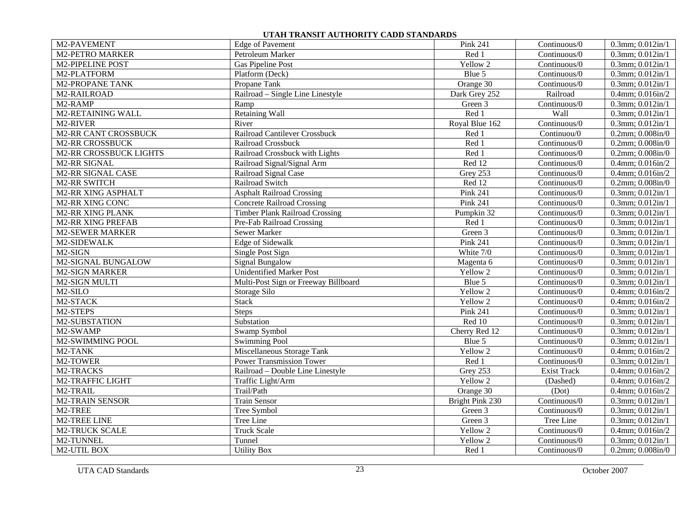| M2-PAVEMENT                   | <b>Edge of Pavement</b>               | <b>Pink 241</b>     | Continuous/0                      | $0.3$ mm; $0.012$ in/1           |
|-------------------------------|---------------------------------------|---------------------|-----------------------------------|----------------------------------|
| <b>M2-PETRO MARKER</b>        | Petroleum Marker                      | Red 1               | Continuous/0                      | $0.3$ mm; $0.012$ in/1           |
| <b>M2-PIPELINE POST</b>       | Gas Pipeline Post                     | Yellow 2            | $\overline{\text{Continuous}}$ /0 | $0.3$ mm; $0.012$ in/1           |
| M <sub>2</sub> -PLATFORM      | Platform (Deck)                       | Blue 5              | Continuous/0                      | $0.3$ mm; $0.012$ in/1           |
| <b>M2-PROPANE TANK</b>        | Propane Tank                          | Orange 30           | Continuous/0                      | $0.3$ mm; $0.012$ in/1           |
| M2-RAILROAD                   | Railroad - Single Line Linestyle      | Dark Grey 252       | Railroad                          | $0.4$ mm; $0.016$ in/2           |
| M2-RAMP                       | Ramp                                  | Green 3             | Continuous/0                      | $0.3$ mm; $0.012$ in/1           |
| <b>M2-RETAINING WALL</b>      | <b>Retaining Wall</b>                 | Red 1               | Wall                              | $0.3$ mm; $0.012$ in/1           |
| M2-RIVER                      | River                                 | Royal Blue 162      | Continuous/0                      | $0.3$ mm; $0.012$ in/1           |
| <b>M2-RR CANT CROSSBUCK</b>   | Railroad Cantilever Crossbuck         | Red 1               | Continuou/0                       | $0.2$ mm; $0.008$ in/ $0$        |
| <b>M2-RR CROSSBUCK</b>        | Railroad Crossbuck                    | Red 1               | Continuous/0                      | $0.2$ mm; $0.008$ in/ $0$        |
| <b>M2-RR CROSSBUCK LIGHTS</b> | Railroad Crossbuck with Lights        | Red 1               | Continuous/0                      | $0.2$ mm; $0.008$ in/ $0$        |
| M2-RR SIGNAL                  | Railroad Signal/Signal Arm            | Red 12              | Continuous/0                      | $0.4$ mm; $0.016$ in/2           |
| <b>M2-RR SIGNAL CASE</b>      | Railroad Signal Case                  | Grey 253            | Continuous/0                      | $0.4$ mm; $0.016$ in/2           |
| M2-RR SWITCH                  | Railroad Switch                       | Red 12              | Continuous/0                      | $0.2$ mm; $0.008$ in/ $0$        |
| <b>M2-RR XING ASPHALT</b>     | <b>Asphalt Railroad Crossing</b>      | Pink 241            | Continuous/0                      | $0.3$ mm; $0.012$ in/1           |
| M2-RR XING CONC               | <b>Concrete Railroad Crossing</b>     | Pink 241            | Continuous/0                      | $0.3$ mm; $0.012$ in/1           |
| <b>M2-RR XING PLANK</b>       | <b>Timber Plank Railroad Crossing</b> | Pumpkin 32          | Continuous/0                      | $0.3$ mm; $0.012$ in/1           |
| <b>M2-RR XING PREFAB</b>      | Pre-Fab Railroad Crossing             | Red 1               | Continuous/0                      | $0.3$ mm; $0.012$ in/1           |
| <b>M2-SEWER MARKER</b>        | Sewer Marker                          | Green 3             | Continuous/0                      | $0.3$ mm; $0.012$ in/1           |
| M2-SIDEWALK                   | <b>Edge of Sidewalk</b>               | <b>Pink 241</b>     | $\overline{\text{Continuous}}$ /0 | $0.3$ mm; $0.012$ in/1           |
| M2-SIGN                       | Single Post Sign                      | White 7/0           | Continuous/0                      | $0.3$ mm; $0.012$ in/1           |
| M2-SIGNAL BUNGALOW            | <b>Signal Bungalow</b>                | Magenta 6           | Continuous/0                      | 0.3mm; 0.012in/1                 |
| <b>M2-SIGN MARKER</b>         | <b>Unidentified Marker Post</b>       | Yellow <sub>2</sub> | Continuous/0                      | $0.3$ mm; $0.012$ in/1           |
| M2-SIGN MULTI                 | Multi-Post Sign or Freeway Billboard  | Blue 5              | Continuous/0                      | $0.3$ mm; $0.012$ in/1           |
| $M2-SILO$                     | Storage Silo                          | Yellow <sub>2</sub> | Continuous/0                      | $0.4$ mm; $0.016$ in/2           |
| M2-STACK                      | <b>Stack</b>                          | Yellow 2            | Continuous/0                      | $0.4$ mm; $0.016$ in/2           |
| M2-STEPS                      | <b>Steps</b>                          | <b>Pink 241</b>     | Continuous/0                      | $0.3$ mm; $0.012$ in/1           |
| M2-SUBSTATION                 | Substation                            | Red 10              | Continuous/0                      | $0.3$ mm; $0.012$ in/1           |
| M2-SWAMP                      | Swamp Symbol                          | Cherry Red 12       | $\overline{\text{Continuous}}$ /0 | $0.3$ mm; $0.012$ in/1           |
| M2-SWIMMING POOL              | <b>Swimming Pool</b>                  | Blue 5              | Continuous/0                      | $0.3$ mm; $0.012$ in/1           |
| M2-TANK                       | Miscellaneous Storage Tank            | Yellow 2            | Continuous/0                      | $0.4$ mm; $0.016$ in/2           |
| M2-TOWER                      | <b>Power Transmission Tower</b>       | Red 1               | Continuous/0                      | $0.3$ mm; $0.012$ in/1           |
| M2-TRACKS                     | Railroad - Double Line Linestyle      | Grey 253            | <b>Exist Track</b>                | $0.4$ mm; $0.016$ in/2           |
| M2-TRAFFIC LIGHT              | Traffic Light/Arm                     | Yellow 2            | (Dashed)                          | $0.4$ mm; $0.016$ in/2           |
| M2-TRAIL                      | Trail/Path                            | Orange 30           | (Dot)                             | $0.4$ mm; $0.016$ in/2           |
| <b>M2-TRAIN SENSOR</b>        | <b>Train Sensor</b>                   | Bright Pink 230     | Continuous/0                      | $0.3$ mm; $0.012$ in/1           |
| M2-TREE                       | Tree Symbol                           | Green 3             | Continuous/0                      | $0.3$ mm; $0.012$ in/1           |
| M2-TREE LINE                  | Tree Line                             | Green 3             | Tree Line                         | $0.3$ mm; $0.012$ in/1           |
| <b>M2-TRUCK SCALE</b>         | <b>Truck Scale</b>                    | Yellow 2            | Continuous/0                      | $0.4$ mm; $0.016$ in/2           |
| M2-TUNNEL                     | Tunnel                                | Yellow 2            | Continuous/0                      | $0.3$ mm; $0.012$ in/1           |
| <b>M2-UTIL BOX</b>            | <b>Utility Box</b>                    | Red 1               | Continuous/0                      | $0.2$ mm; $0.008$ in/ $\sqrt{0}$ |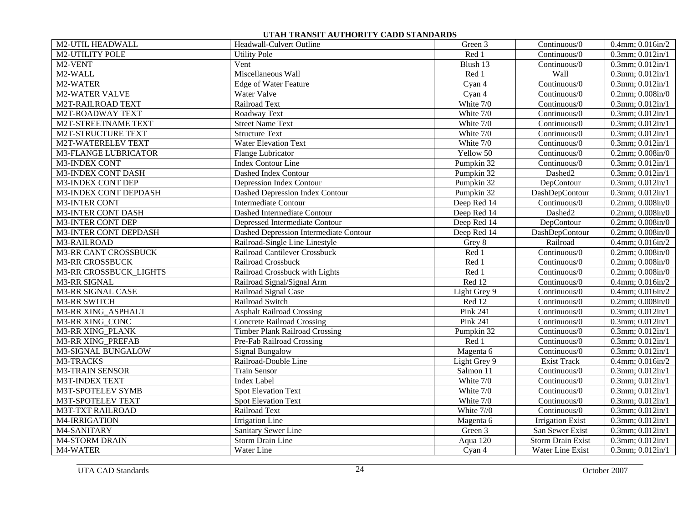| <b>M2-UTIL HEADWALL</b>      | Headwall-Culvert Outline               | Green 3         | Continuous/0                      | $0.4$ mm; $0.016$ in/2    |
|------------------------------|----------------------------------------|-----------------|-----------------------------------|---------------------------|
| <b>M2-UTILITY POLE</b>       | <b>Utility Pole</b>                    | Red 1           | Continuous/0                      | $0.3$ mm; $0.012$ in/1    |
| M2-VENT                      | Vent                                   | Blush 13        | Continuous/0                      | $0.3$ mm; $0.012$ in/1    |
| M2-WALL                      | Miscellaneous Wall                     | Red 1           | Wall                              | 0.3mm; 0.012in/1          |
| M2-WATER                     | <b>Edge of Water Feature</b>           | Cyan 4          | Continuous/0                      | 0.3mm; 0.012in/1          |
| <b>M2-WATER VALVE</b>        | Water Valve                            | Cyan 4          | Continuous/0                      | $0.2$ mm; $0.008$ in/ $0$ |
| <b>M2T-RAILROAD TEXT</b>     | Railroad Text                          | White 7/0       | Continuous/0                      | $0.3$ mm; $0.012$ in/1    |
| M2T-ROADWAY TEXT             | Roadway Text                           | White 7/0       | Continuous/0                      | $0.3$ mm; $0.012$ in/1    |
| M2T-STREETNAME TEXT          | <b>Street Name Text</b>                | White 7/0       | Continuous/0                      | $0.3$ mm; $0.012$ in/1    |
| M2T-STRUCTURE TEXT           | <b>Structure Text</b>                  | White 7/0       | Continuous/0                      | $0.3$ mm; $0.012$ in/1    |
| M2T-WATERELEV TEXT           | <b>Water Elevation Text</b>            | White 7/0       | Continuous/0                      | $0.3$ mm; $0.012$ in/1    |
| <b>M3-FLANGE LUBRICATOR</b>  | Flange Lubricator                      | Yellow 50       | $\overline{\text{Continuous}}$ /0 | $0.2$ mm; $0.008$ in/ $0$ |
| M3-INDEX CONT                | <b>Index Contour Line</b>              | Pumpkin 32      | Continuous/0                      | $0.3$ mm; $0.012$ in/1    |
| <b>M3-INDEX CONT DASH</b>    | Dashed Index Contour                   | Pumpkin 32      | Dashed2                           | $0.3$ mm; $0.012$ in/1    |
| M3-INDEX CONT DEP            | Depression Index Contour               | Pumpkin 32      | DepContour                        | $0.3$ mm; $0.012$ in/1    |
| M3-INDEX CONT DEPDASH        | Dashed Depression Index Contour        | Pumpkin 32      | DashDepContour                    | 0.3mm; 0.012in/1          |
| M3-INTER CONT                | <b>Intermediate Contour</b>            | Deep Red 14     | Continuous/0                      | $0.2$ mm; $0.008$ in/ $0$ |
| <b>M3-INTER CONT DASH</b>    | Dashed Intermediate Contour            | Deep Red 14     | Dashed2                           | $0.2$ mm; $0.008$ in/ $0$ |
| <b>M3-INTER CONT DEP</b>     | Depressed Intermediate Contour         | Deep Red 14     | DepContour                        | $0.2$ mm; $0.008$ in/ $0$ |
| <b>M3-INTER CONT DEPDASH</b> | Dashed Depression Intermediate Contour | Deep Red 14     | DashDepContour                    | $0.2$ mm; $0.008$ in/ $0$ |
| M3-RAILROAD                  | Railroad-Single Line Linestyle         | Grey 8          | Railroad                          | $0.4$ mm; $0.016$ in/2    |
| <b>M3-RR CANT CROSSBUCK</b>  | Railroad Cantilever Crossbuck          | Red 1           | Continuous/0                      | $0.2$ mm; $0.008$ in/ $0$ |
| <b>M3-RR CROSSBUCK</b>       | Railroad Crossbuck                     | Red 1           | Continuous/0                      | $0.2$ mm; $0.008$ in/ $0$ |
| M3-RR CROSSBUCK_LIGHTS       | Railroad Crossbuck with Lights         | Red 1           | Continuous/0                      | $0.2$ mm; $0.008$ in/ $0$ |
| M3-RR SIGNAL                 | Railroad Signal/Signal Arm             | Red 12          | Continuous/0                      | $0.4$ mm; $0.016$ in/2    |
| <b>M3-RR SIGNAL CASE</b>     | Railroad Signal Case                   | Light Grey 9    | Continuous/0                      | $0.4$ mm; $0.016$ in/2    |
| <b>M3-RR SWITCH</b>          | Railroad Switch                        | Red 12          | Continuous/0                      | $0.2$ mm; $0.008$ in/ $0$ |
| M3-RR XING_ASPHALT           | <b>Asphalt Railroad Crossing</b>       | <b>Pink 241</b> | Continuous/0                      | $0.3$ mm; $0.012$ in/1    |
| M3-RR XING_CONC              | <b>Concrete Railroad Crossing</b>      | <b>Pink 241</b> | Continuous/0                      | $0.3$ mm; $0.012$ in/1    |
| <b>M3-RR XING_PLANK</b>      | <b>Timber Plank Railroad Crossing</b>  | Pumpkin 32      | Continuous/0                      | $0.3$ mm; $0.012$ in/1    |
| <b>M3-RR XING_PREFAB</b>     | Pre-Fab Railroad Crossing              | Red 1           | Continuous/0                      | 0.3mm; 0.012in/1          |
| M3-SIGNAL BUNGALOW           | <b>Signal Bungalow</b>                 | Magenta 6       | Continuous/0                      | $0.3$ mm; $0.012$ in/1    |
| M3-TRACKS                    | Railroad-Double Line                   | Light Grey 9    | <b>Exist Track</b>                | $0.4$ mm; $0.016$ in/2    |
| <b>M3-TRAIN SENSOR</b>       | Train Sensor                           | Salmon 11       | Continuous/0                      | $0.3$ mm; $0.012$ in/1    |
| M3T-INDEX TEXT               | <b>Index Label</b>                     | White 7/0       | Continuous/0                      | 0.3mm; 0.012in/1          |
| M3T-SPOTELEV SYMB            | <b>Spot Elevation Text</b>             | White 7/0       | Continuous/0                      | $0.3$ mm; $0.012$ in/1    |
| M3T-SPOTELEV TEXT            | <b>Spot Elevation Text</b>             | White 7/0       | Continuous/0                      | 0.3mm; 0.012in/1          |
| <b>M3T-TXT RAILROAD</b>      | Railroad Text                          | White 7//0      | Continuous/0                      | $0.3$ mm; $0.012$ in/1    |
| M4-IRRIGATION                | Irrigation Line                        | Magenta 6       | <b>Irrigation Exist</b>           | $0.3$ mm; $0.012$ in/1    |
| M4-SANITARY                  | <b>Sanitary Sewer Line</b>             | Green 3         | San Sewer Exist                   | $0.3$ mm; $0.012$ in/1    |
| <b>M4-STORM DRAIN</b>        | <b>Storm Drain Line</b>                | Aqua 120        | <b>Storm Drain Exist</b>          | $0.3$ mm; $0.012$ in/1    |
| M4-WATER                     | Water Line                             | Cyan 4          | Water Line Exist                  | $0.3$ mm; $0.012$ in/1    |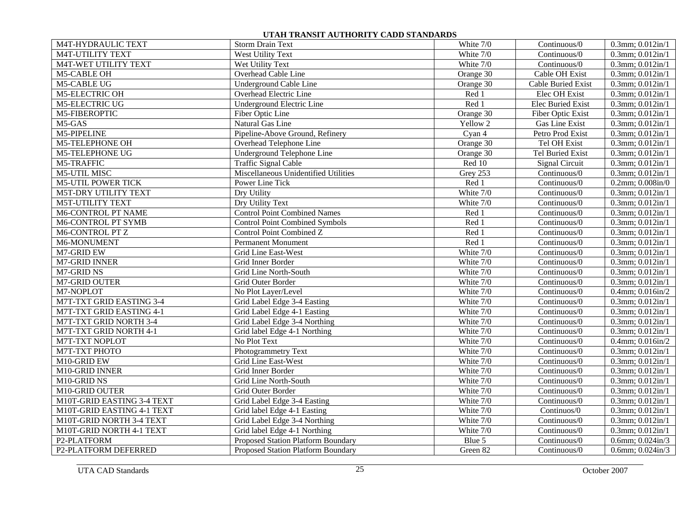| M4T-HYDRAULIC TEXT            | <b>Storm Drain Text</b>               | White 7/0   | Continuous/0                      | $0.3$ mm; $0.012$ in/1    |
|-------------------------------|---------------------------------------|-------------|-----------------------------------|---------------------------|
| <b>M4T-UTILITY TEXT</b>       | West Utility Text                     | White 7/0   | Continuous/0                      | $0.3$ mm; $0.012$ in/1    |
| M4T-WET UTILITY TEXT          | Wet Utility Text                      | White 7/0   | Continuous/0                      | $0.3$ mm; $0.012$ in/1    |
| M5-CABLE OH                   | Overhead Cable Line                   | Orange 30   | Cable OH Exist                    | $0.3$ mm; $0.012$ in/1    |
| M5-CABLE UG                   | <b>Underground Cable Line</b>         | Orange 30   | <b>Cable Buried Exist</b>         | $0.3$ mm; $0.012$ in/1    |
| M5-ELECTRIC OH                | Overhead Electric Line                | Red 1       | Elec OH Exist                     | $0.3$ mm; $0.012$ in/1    |
| <b>M5-ELECTRIC UG</b>         | <b>Underground Electric Line</b>      | Red 1       | <b>Elec Buried Exist</b>          | 0.3mm; 0.012in/1          |
| M5-FIBEROPTIC                 | Fiber Optic Line                      | Orange 30   | <b>Fiber Optic Exist</b>          | $0.3$ mm; $0.012$ in/1    |
| M5-GAS                        | Natural Gas Line                      | Yellow 2    | Gas Line Exist                    | $0.3$ mm; $0.012$ in/1    |
| M5-PIPELINE                   | Pipeline-Above Ground, Refinery       | Cyan 4      | Petro Prod Exist                  | $0.3$ mm; $0.012$ in/1    |
| <b>M5-TELEPHONE OH</b>        | Overhead Telephone Line               | Orange 30   | Tel OH Exist                      | $0.3$ mm; $0.012$ in/1    |
| <b>M5-TELEPHONE UG</b>        | Underground Telephone Line            | Orange 30   | <b>Tel Buried Exist</b>           | $0.3$ mm; $0.012$ in/1    |
| M5-TRAFFIC                    | <b>Traffic Signal Cable</b>           | Red 10      | <b>Signal Circuit</b>             | $0.3$ mm; $0.012$ in/1    |
| <b>M5-UTIL MISC</b>           | Miscellaneous Unidentified Utilities  | Grey 253    | Continuous/0                      | $0.3$ mm; $0.012$ in/1    |
| <b>M5-UTIL POWER TICK</b>     | Power Line Tick                       | Red 1       | Continuous/0                      | $0.2$ mm; $0.008$ in/ $0$ |
| <b>M5T-DRY UTILITY TEXT</b>   | Dry Utility                           | White 7/0   | $\overline{\text{Continuous}}$ /0 | $0.3$ mm; $0.012$ in/1    |
| <b>M5T-UTILITY TEXT</b>       | Dry Utility Text                      | White $7/0$ | Continuous/0                      | 0.3mm; 0.012in/1          |
| M6-CONTROL PT NAME            | <b>Control Point Combined Names</b>   | Red 1       | Continuous/0                      | $0.3$ mm; $0.012$ in/1    |
| M6-CONTROL PT SYMB            | <b>Control Point Combined Symbols</b> | Red 1       | Continuous/0                      | $0.3$ mm; $0.012$ in/1    |
| M6-CONTROL PT Z               | Control Point Combined Z              | Red 1       | Continuous/0                      | $0.3$ mm; $0.012$ in/1    |
| M6-MONUMENT                   | <b>Permanent Monument</b>             | Red 1       | Continuous/0                      | $0.3$ mm; $0.012$ in/1    |
| M7-GRID EW                    | Grid Line East-West                   | White 7/0   | Continuous/0                      | $0.3$ mm; $0.012$ in/1    |
| M7-GRID INNER                 | Grid Inner Border                     | White 7/0   | Continuous/0                      | $0.3$ mm; $0.012$ in/1    |
| M7-GRID NS                    | Grid Line North-South                 | White 7/0   | Continuous/0                      | $0.3$ mm; $0.012$ in/1    |
| M7-GRID OUTER                 | Grid Outer Border                     | White 7/0   | Continuous/0                      | $0.3$ mm; $0.012$ in/1    |
| M7-NOPLOT                     | No Plot Layer/Level                   | White 7/0   | Continuous/0                      | $0.4$ mm; $0.016$ in/2    |
| M7T-TXT GRID EASTING 3-4      | Grid Label Edge 3-4 Easting           | White 7/0   | Continuous/0                      | $0.3$ mm; $0.012$ in/1    |
| M7T-TXT GRID EASTING 4-1      | Grid Label Edge 4-1 Easting           | White 7/0   | Continuous/0                      | $0.3$ mm; $0.012$ in/1    |
| <b>M7T-TXT GRID NORTH 3-4</b> | Grid Label Edge 3-4 Northing          | White 7/0   | Continuous/0                      | $0.3$ mm; $0.012$ in/1    |
| M7T-TXT GRID NORTH 4-1        | Grid label Edge 4-1 Northing          | White 7/0   | $\overline{\text{Continuous}}$ /0 | $0.3$ mm; $0.012$ in/1    |
| <b>M7T-TXT NOPLOT</b>         | No Plot Text                          | White 7/0   | Continuous/0                      | $0.4$ mm; $0.016$ in/2    |
| M7T-TXT PHOTO                 | Photogrammetry Text                   | White 7/0   | Continuous/0                      | $0.3$ mm; $0.012$ in/1    |
| M10-GRID EW                   | Grid Line East-West                   | White 7/0   | Continuous/0                      | $0.3$ mm; $0.012$ in/1    |
| M10-GRID INNER                | Grid Inner Border                     | White 7/0   | Continuous/0                      | $0.3$ mm; $0.012$ in/1    |
| M10-GRID NS                   | Grid Line North-South                 | White 7/0   | Continuous/0                      | 0.3mm; 0.012in/1          |
| M10-GRID OUTER                | Grid Outer Border                     | White 7/0   | Continuous/0                      | $0.3$ mm; $0.012$ in/1    |
| M10T-GRID EASTING 3-4 TEXT    | Grid Label Edge 3-4 Easting           | White 7/0   | Continuous/0                      | $0.3$ mm; $0.012$ in/1    |
| M10T-GRID EASTING 4-1 TEXT    | Grid label Edge 4-1 Easting           | White 7/0   | Continuos/0                       | $0.3$ mm; $0.012$ in/1    |
| M10T-GRID NORTH 3-4 TEXT      | Grid Label Edge 3-4 Northing          | White 7/0   | Continuous/0                      | $0.3$ mm; $0.012$ in/1    |
| M10T-GRID NORTH 4-1 TEXT      | Grid label Edge 4-1 Northing          | White 7/0   | Continuous/0                      | 0.3mm; 0.012in/1          |
| P2-PLATFORM                   | Proposed Station Platform Boundary    | Blue 5      | Continuous/0                      | $0.6$ mm; $0.024$ in/3    |
| P2-PLATFORM DEFERRED          | Proposed Station Platform Boundary    | Green 82    | Continuous/0                      | $0.6$ mm; $0.024$ in/3    |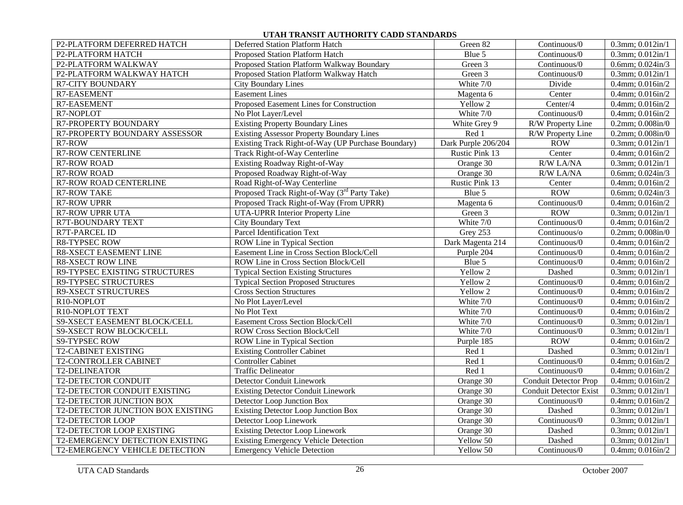| P2-PLATFORM DEFERRED HATCH          | Deferred Station Platform Hatch                          | Green 82            | Continuous/0                      | $0.3$ mm; $0.012$ in/1    |
|-------------------------------------|----------------------------------------------------------|---------------------|-----------------------------------|---------------------------|
| P2-PLATFORM HATCH                   | Proposed Station Platform Hatch                          | Blue 5              | Continuous/0                      | $0.3$ mm; $0.012$ in/1    |
| P2-PLATFORM WALKWAY                 | Proposed Station Platform Walkway Boundary               | Green 3             | $\overline{\text{Continuous}}$ /0 | $0.6$ mm; $0.024$ in/3    |
| P2-PLATFORM WALKWAY HATCH           | Proposed Station Platform Walkway Hatch                  | Green 3             | Continuous/0                      | 0.3mm; 0.012in/1          |
| <b>R7-CITY BOUNDARY</b>             | <b>City Boundary Lines</b>                               | White 7/0           | Divide                            | $0.4$ mm; $0.016$ in/2    |
| R7-EASEMENT                         | <b>Easement Lines</b>                                    | Magenta 6           | Center                            | 0.4mm; 0.016in/2          |
| R7-EASEMENT                         | Proposed Easement Lines for Construction                 | Yellow 2            | Center/4                          | $0.4$ mm; $0.016$ in/2    |
| R7-NOPLOT                           | No Plot Layer/Level                                      | White 7/0           | Continuous/0                      | 0.4mm; 0.016in/2          |
| R7-PROPERTY BOUNDARY                | <b>Existing Property Boundary Lines</b>                  | White Grey 9        | R/W Property Line                 | $0.2$ mm; $0.008$ in/ $0$ |
| R7-PROPERTY BOUNDARY ASSESSOR       | <b>Existing Assessor Property Boundary Lines</b>         | Red 1               | R/W Property Line                 | $0.2$ mm; $0.008$ in/ $0$ |
| R7-ROW                              | Existing Track Right-of-Way (UP Purchase Boundary)       | Dark Purple 206/204 | ROW                               | $0.3$ mm; $0.012$ in/1    |
| <b>R7-ROW CENTERLINE</b>            | Track Right-of-Way Centerline                            | Rustic Pink 13      | Center                            | $0.4$ mm; $0.016$ in/2    |
| <b>R7-ROW ROAD</b>                  | Existing Roadway Right-of-Way                            | Orange 30           | R/W LA/NA                         | $0.3$ mm; $0.012$ in/1    |
| <b>R7-ROW ROAD</b>                  | Proposed Roadway Right-of-Way                            | Orange 30           | R/W LA/NA                         | $0.6$ mm; $0.024$ in/3    |
| R7-ROW ROAD CENTERLINE              | Road Right-of-Way Centerline                             | Rustic Pink 13      | Center                            | $0.4$ mm; $0.016$ in/2    |
| <b>R7-ROW TAKE</b>                  | Proposed Track Right-of-Way (3 <sup>rd</sup> Party Take) | Blue 5              | <b>ROW</b>                        | $0.6$ mm; $0.024$ in/3    |
| <b>R7-ROW UPRR</b>                  | Proposed Track Right-of-Way (From UPRR)                  | Magenta 6           | Continuous/0                      | 0.4mm; 0.016in/2          |
| <b>R7-ROW UPRR UTA</b>              | <b>UTA-UPRR Interior Property Line</b>                   | Green 3             | <b>ROW</b>                        | $0.3$ mm; $0.012$ in/1    |
| R7T-BOUNDARY TEXT                   | City Boundary Text                                       | White 7/0           | Continuous/0                      | 0.4mm; 0.016in/2          |
| R7T-PARCEL ID                       | Parcel Identification Text                               | Grey 253            | $\overline{\text{Continuous}}$    | $0.2$ mm; $0.008$ in/ $0$ |
| <b>R8-TYPSEC ROW</b>                | ROW Line in Typical Section                              | Dark Magenta 214    | Continuous/0                      | $0.4$ mm; $0.016$ in/2    |
| <b>R8-XSECT EASEMENT LINE</b>       | Easement Line in Cross Section Block/Cell                | Purple 204          | Continuous/0                      | $0.4$ mm; $0.016$ in/2    |
| <b>R8-XSECT ROW LINE</b>            | ROW Line in Cross Section Block/Cell                     | Blue 5              | Continuous/0                      | $0.4$ mm; $0.016$ in/2    |
| R9-TYPSEC EXISTING STRUCTURES       | <b>Typical Section Existing Structures</b>               | Yellow 2            | Dashed                            | $0.3$ mm; $0.012$ in/1    |
| R9-TYPSEC STRUCTURES                | <b>Typical Section Proposed Structures</b>               | Yellow 2            | Continuous/0                      | $0.4$ mm; $0.016$ in/2    |
| <b>R9-XSECT STRUCTURES</b>          | <b>Cross Section Structures</b>                          | Yellow 2            | $\overline{\text{Continuous}}$ /0 | $0.4$ mm; $0.016$ in/2    |
| R10-NOPLOT                          | No Plot Layer/Level                                      | White 7/0           | Continuous/0                      | $0.4$ mm; $0.016$ in/2    |
| R10-NOPLOT TEXT                     | No Plot Text                                             | White 7/0           | Continuous/0                      | 0.4mm; 0.016in/2          |
| <b>S9-XSECT EASEMENT BLOCK/CELL</b> | <b>Easement Cross Section Block/Cell</b>                 | White 7/0           | Continuous/0                      | $0.3$ mm; $0.012$ in/1    |
| <b>S9-XSECT ROW BLOCK/CELL</b>      | ROW Cross Section Block/Cell                             | White 7/0           | Continuous/0                      | $0.3$ mm; $0.012$ in/1    |
| <b>S9-TYPSEC ROW</b>                | ROW Line in Typical Section                              | Purple 185          | <b>ROW</b>                        | $0.4$ mm; $0.016$ in/2    |
| <b>T2-CABINET EXISTING</b>          | <b>Existing Controller Cabinet</b>                       | Red 1               | Dashed                            | $0.3$ mm; $0.012$ in/1    |
| <b>T2-CONTROLLER CABINET</b>        | <b>Controller Cabinet</b>                                | Red 1               | Continuous/0                      | $0.4$ mm; $0.016$ in/2    |
| T2-DELINEATOR                       | <b>Traffic Delineator</b>                                | Red 1               | Continuous/0                      | $0.4$ mm; $0.016$ in/2    |
| T2-DETECTOR CONDUIT                 | Detector Conduit Linework                                | Orange 30           | <b>Conduit Detector Prop</b>      | $0.4$ mm; $0.016$ in/2    |
| T2-DETECTOR CONDUIT EXISTING        | <b>Existing Detector Conduit Linework</b>                | Orange 30           | Conduit Detector Exist            | $0.3$ mm; $0.012$ in/1    |
| T2-DETECTOR JUNCTION BOX            | Detector Loop Junction Box                               | Orange 30           | Continuous/0                      | $0.4$ mm; $0.016$ in/2    |
| T2-DETECTOR JUNCTION BOX EXISTING   | Existing Detector Loop Junction Box                      | Orange 30           | Dashed                            | $0.3$ mm; $0.012$ in/1    |
| <b>T2-DETECTOR LOOP</b>             | Detector Loop Linework                                   | Orange 30           | Continuous/0                      | $0.3$ mm; $0.012$ in/1    |
| T2-DETECTOR LOOP EXISTING           | <b>Existing Detector Loop Linework</b>                   | Orange 30           | Dashed                            | 0.3mm; 0.012in/1          |
| T2-EMERGENCY DETECTION EXISTING     | <b>Existing Emergency Vehicle Detection</b>              | Yellow 50           | Dashed                            | $0.3$ mm; $0.012$ in/1    |
| T2-EMERGENCY VEHICLE DETECTION      | <b>Emergency Vehicle Detection</b>                       | Yellow 50           | Continuous/0                      | $0.4$ mm; $0.016$ in/2    |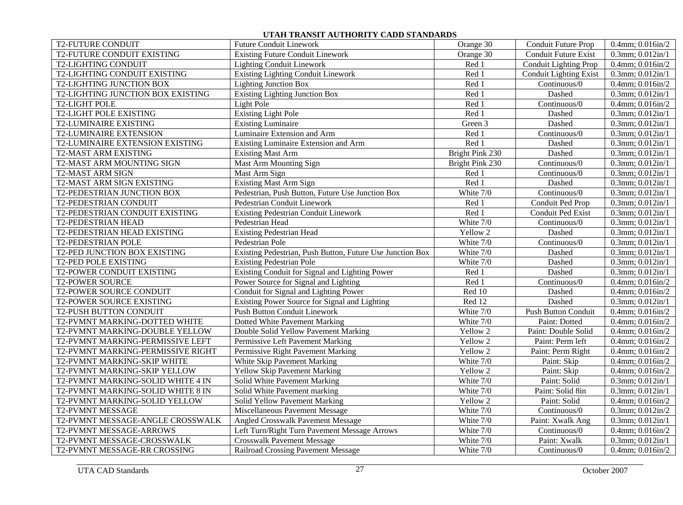| <b>T2-FUTURE CONDUIT</b>          | <b>Future Conduit Linework</b>                            | Orange 30       | <b>Conduit Future Prop</b>    | $0.4$ mm; $0.016$ in/2 |
|-----------------------------------|-----------------------------------------------------------|-----------------|-------------------------------|------------------------|
| T2-FUTURE CONDUIT EXISTING        | <b>Existing Future Conduit Linework</b>                   | Orange 30       | Conduit Future Exist          | $0.3$ mm; $0.012$ in/1 |
| <b>T2-LIGHTING CONDUIT</b>        | <b>Lighting Conduit Linework</b>                          | Red 1           | <b>Conduit Lighting Prop</b>  | $0.4$ mm; $0.016$ in/2 |
| T2-LIGHTING CONDUIT EXISTING      | <b>Existing Lighting Conduit Linework</b>                 | Red 1           | <b>Conduit Lighting Exist</b> | $0.3$ mm; $0.012$ in/1 |
| T2-LIGHTING JUNCTION BOX          | <b>Lighting Junction Box</b>                              | Red 1           | Continuous/0                  | $0.4$ mm; $0.016$ in/2 |
| T2-LIGHTING JUNCTION BOX EXISTING | <b>Existing Lighting Junction Box</b>                     | Red 1           | Dashed                        | $0.3$ mm; $0.012$ in/1 |
| T2-LIGHT POLE                     | Light Pole                                                | Red 1           | Continuous/0                  | $0.4$ mm; $0.016$ in/2 |
| <b>T2-LIGHT POLE EXISTING</b>     | <b>Existing Light Pole</b>                                | Red 1           | Dashed                        | $0.3$ mm; $0.012$ in/1 |
| <b>T2-LUMINAIRE EXISTING</b>      | <b>Existing Luminaire</b>                                 | Green 3         | Dashed                        | $0.3$ mm; $0.012$ in/1 |
| <b>T2-LUMINAIRE EXTENSION</b>     | Luminaire Extension and Arm                               | Red 1           | Continuous/0                  | $0.3$ mm; $0.012$ in/1 |
| T2-LUMINAIRE EXTENSION EXISTING   | Existing Luminaire Extension and Arm                      | Red 1           | Dashed                        | $0.3$ mm; $0.012$ in/1 |
| T2-MAST ARM EXISTING              | <b>Existing Mast Arm</b>                                  | Bright Pink 230 | Dashed                        | $0.3$ mm; $0.012$ in/1 |
| T2-MAST ARM MOUNTING SIGN         | <b>Mast Arm Mounting Sign</b>                             | Bright Pink 230 | Continuous/0                  | 0.3mm; 0.012in/1       |
| <b>T2-MAST ARM SIGN</b>           | Mast Arm Sign                                             | Red 1           | Continuous/0                  | $0.3$ mm; $0.012$ in/1 |
| T2-MAST ARM SIGN EXISTING         | <b>Existing Mast Arm Sign</b>                             | Red 1           | Dashed                        | $0.3$ mm; $0.012$ in/1 |
| T2-PEDESTRIAN JUNCTION BOX        | Pedestrian, Push Button, Future Use Junction Box          | White 7/0       | Continuous/0                  | $0.3$ mm; $0.012$ in/1 |
| T2-PEDESTRIAN CONDUIT             | Pedestrian Conduit Linework                               | Red 1           | Conduit Ped Prop              | $0.3$ mm; $0.012$ in/1 |
| T2-PEDESTRIAN CONDUIT EXISTING    | <b>Existing Pedestrian Conduit Linework</b>               | Red 1           | Conduit Ped Exist             | $0.3$ mm; $0.012$ in/1 |
| T2-PEDESTRIAN HEAD                | Pedestrian Head                                           | White 7/0       | Continuous/0                  | $0.3$ mm; $0.012$ in/1 |
| T2-PEDESTRIAN HEAD EXISTING       | <b>Existing Pedestrian Head</b>                           | Yellow 2        | Dashed                        | $0.3$ mm; $0.012$ in/1 |
| <b>T2-PEDESTRIAN POLE</b>         | Pedestrian Pole                                           | White 7/0       | Continuous/0                  | $0.3$ mm; $0.012$ in/1 |
| T2-PED JUNCTION BOX EXISTING      | Existing Pedestrian, Push Button, Future Use Junction Box | White 7/0       | Dashed                        | $0.3$ mm; $0.012$ in/1 |
| <b>T2-PED POLE EXISTING</b>       | <b>Existing Pedestrian Pole</b>                           | White 7/0       | Dashed                        | $0.3$ mm; $0.012$ in/1 |
| T2-POWER CONDUIT EXISTING         | Existing Conduit for Signal and Lighting Power            | Red 1           | Dashed                        | $0.3$ mm; $0.012$ in/1 |
| <b>T2-POWER SOURCE</b>            | Power Source for Signal and Lighting                      | Red 1           | Continuous/0                  | $0.4$ mm; $0.016$ in/2 |
| <b>T2-POWER SOURCE CONDUIT</b>    | Conduit for Signal and Lighting Power                     | Red 10          | Dashed                        | $0.4$ mm; $0.016$ in/2 |
| T2-POWER SOURCE EXISTING          | Existing Power Source for Signal and Lighting             | Red 12          | Dashed                        | $0.3$ mm; $0.012$ in/1 |
| T2-PUSH BUTTON CONDUIT            | <b>Push Button Conduit Linework</b>                       | White 7/0       | <b>Push Button Conduit</b>    | $0.4$ mm; $0.016$ in/2 |
| T2-PVMNT MARKING-DOTTED WHITE     | Dotted White Pavement Marking                             | White 7/0       | Paint: Dotted                 | $0.4$ mm; $0.016$ in/2 |
| T2-PVMNT MARKING-DOUBLE YELLOW    | Double Solid Yellow Pavement Marking                      | Yellow 2        | Paint: Double Solid           | 0.4mm; 0.016in/2       |
| T2-PVMNT MARKING-PERMISSIVE LEFT  | Permissive Left Pavement Marking                          | Yellow 2        | Paint: Perm left              | $0.4$ mm; $0.016$ in/2 |
| T2-PVMNT MARKING-PERMISSIVE RIGHT | Permissive Right Pavement Marking                         | Yellow 2        | Paint: Perm Right             | $0.4$ mm; $0.016$ in/2 |
| T2-PVMNT MARKING-SKIP WHITE       | White Skip Pavement Marking                               | White 7/0       | Paint: Skip                   | $0.4$ mm; $0.016$ in/2 |
| T2-PVMNT MARKING-SKIP YELLOW      | Yellow Skip Pavement Marking                              | Yellow 2        | Paint: Skip                   | $0.4$ mm; $0.016$ in/2 |
| T2-PVMNT MARKING-SOLID WHITE 4 IN | Solid White Pavement Marking                              | White 7/0       | Paint: Solid                  | $0.3$ mm; $0.012$ in/1 |
| T2-PVMNT MARKING-SOLID WHITE 8 IN | Solid White Pavement marking                              | White 7/0       | Paint: Solid 8in              | $0.3$ mm; $0.012$ in/1 |
| T2-PVMNT MARKING-SOLID YELLOW     | Solid Yellow Pavement Marking                             | Yellow 2        | Paint: Solid                  | $0.4$ mm; $0.016$ in/2 |
| <b>T2-PVMNT MESSAGE</b>           | Miscellaneous Pavement Message                            | White 7/0       | Continuous/0                  | $0.3$ mm; $0.012$ in/2 |
| T2-PVMNT MESSAGE-ANGLE CROSSWALK  | <b>Angled Crosswalk Pavement Message</b>                  | White 7/0       | Paint: Xwalk Ang              | $0.3$ mm; $0.012$ in/1 |
| T2-PVMNT MESSAGE-ARROWS           | Left Turn/Right Turn Pavement Message Arrows              | White 7/0       | Continuous/0                  | $0.4$ mm; $0.016$ in/2 |
| T2-PVMNT MESSAGE-CROSSWALK        | <b>Crosswalk Pavement Message</b>                         | White 7/0       | Paint: Xwalk                  | $0.3$ mm; $0.012$ in/1 |
| T2-PVMNT MESSAGE-RR CROSSING      | <b>Railroad Crossing Pavement Message</b>                 | White 7/0       | Continuous/0                  | $0.4$ mm; $0.016$ in/2 |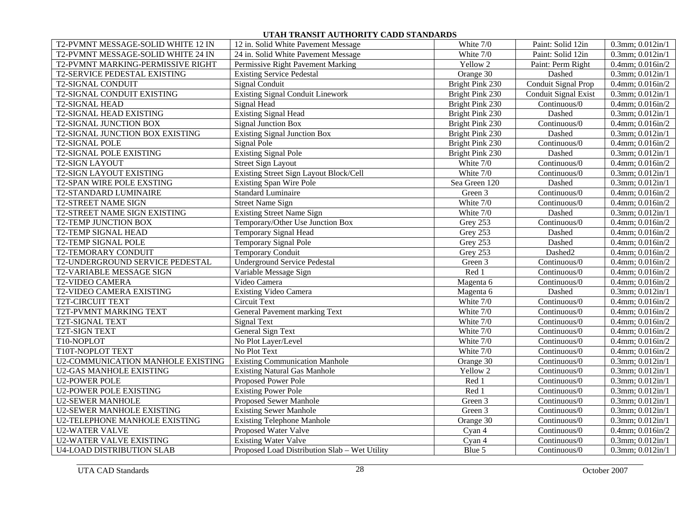| T2-PVMNT MESSAGE-SOLID WHITE 12 IN | 12 in. Solid White Pavement Message           | White 7/0       | Paint: Solid 12in                 | $0.3$ mm; $0.012$ in/1 |
|------------------------------------|-----------------------------------------------|-----------------|-----------------------------------|------------------------|
| T2-PVMNT MESSAGE-SOLID WHITE 24 IN | 24 in. Solid White Pavement Message           | White 7/0       | Paint: Solid 12in                 | $0.3$ mm; $0.012$ in/1 |
| T2-PVMNT MARKING-PERMISSIVE RIGHT  | Permissive Right Pavement Marking             | Yellow 2        | Paint: Perm Right                 | $0.4$ mm; $0.016$ in/2 |
| T2-SERVICE PEDESTAL EXISTING       | <b>Existing Service Pedestal</b>              | Orange 30       | Dashed                            | 0.3mm; 0.012in/1       |
| <b>T2-SIGNAL CONDUIT</b>           | <b>Signal Conduit</b>                         | Bright Pink 230 | Conduit Signal Prop               | $0.4$ mm; $0.016$ in/2 |
| T2-SIGNAL CONDUIT EXISTING         | <b>Existing Signal Conduit Linework</b>       | Bright Pink 230 | Conduit Signal Exist              | $0.3$ mm; $0.012$ in/1 |
| <b>T2-SIGNAL HEAD</b>              | Signal Head                                   | Bright Pink 230 | Continuous/0                      | $0.4$ mm; $0.016$ in/2 |
| <b>T2-SIGNAL HEAD EXISTING</b>     | <b>Existing Signal Head</b>                   | Bright Pink 230 | Dashed                            | $0.3$ mm; $0.012$ in/1 |
| <b>T2-SIGNAL JUNCTION BOX</b>      | Signal Junction Box                           | Bright Pink 230 | Continuous/0                      | 0.4mm; 0.016in/2       |
| T2-SIGNAL JUNCTION BOX EXISTING    | <b>Existing Signal Junction Box</b>           | Bright Pink 230 | Dashed                            | $0.3$ mm; $0.012$ in/1 |
| <b>T2-SIGNAL POLE</b>              | Signal Pole                                   | Bright Pink 230 | Continuous/0                      | 0.4mm; 0.016in/2       |
| <b>T2-SIGNAL POLE EXISTING</b>     | <b>Existing Signal Pole</b>                   | Bright Pink 230 | Dashed                            | $0.3$ mm; $0.012$ in/1 |
| <b>T2-SIGN LAYOUT</b>              | <b>Street Sign Layout</b>                     | White 7/0       | Continuous/0                      | $0.4$ mm; $0.016$ in/2 |
| T2-SIGN LAYOUT EXISTING            | Existing Street Sign Layout Block/Cell        | White 7/0       | Continuous/0                      | $0.3$ mm; $0.012$ in/1 |
| T2-SPAN WIRE POLE EXSTING          | <b>Existing Span Wire Pole</b>                | Sea Green 120   | Dashed                            | 0.3mm; 0.012in/1       |
| T2-STANDARD LUMINAIRE              | <b>Standard Luminaire</b>                     | Green 3         | Continuous/0                      | $0.4$ mm; $0.016$ in/2 |
| <b>T2-STREET NAME SIGN</b>         | <b>Street Name Sign</b>                       | White 7/0       | Continuous/0                      | $0.4$ mm; $0.016$ in/2 |
| T2-STREET NAME SIGN EXISTING       | <b>Existing Street Name Sign</b>              | White 7/0       | Dashed                            | $0.3$ mm; $0.012$ in/1 |
| T2-TEMP JUNCTION BOX               | Temporary/Other Use Junction Box              | Grey 253        | $\overline{\text{Continuous}}$ /0 | $0.4$ mm; $0.016$ in/2 |
| <b>T2-TEMP SIGNAL HEAD</b>         | Temporary Signal Head                         | Grey 253        | Dashed                            | $0.4$ mm; $0.016$ in/2 |
| <b>T2-TEMP SIGNAL POLE</b>         | <b>Temporary Signal Pole</b>                  | Grey 253        | Dashed                            | $0.4$ mm; $0.016$ in/2 |
| <b>T2-TEMORARY CONDUIT</b>         | <b>Temporary Conduit</b>                      | Grey 253        | Dashed2                           | $0.4$ mm; $0.016$ in/2 |
| T2-UNDERGROUND SERVICE PEDESTAL    | <b>Underground Service Pedestal</b>           | Green 3         | Continuous/0                      | $0.4$ mm; $0.016$ in/2 |
| T2-VARIABLE MESSAGE SIGN           | Variable Message Sign                         | Red 1           | Continuous/0                      | $0.4$ mm; $0.016$ in/2 |
| <b>T2-VIDEO CAMERA</b>             | Video Camera                                  | Magenta 6       | Continuous/0                      | $0.4$ mm; $0.016$ in/2 |
| T2-VIDEO CAMERA EXISTING           | <b>Existing Video Camera</b>                  | Magenta 6       | Dashed                            | $0.3$ mm; $0.012$ in/1 |
| T2T-CIRCUIT TEXT                   | Circuit Text                                  | White 7/0       | Continuous/0                      | 0.4mm; 0.016in/2       |
| T2T-PVMNT MARKING TEXT             | General Pavement marking Text                 | White 7/0       | Continuous/0                      | 0.4mm; 0.016in/2       |
| <b>T2T-SIGNAL TEXT</b>             | Signal Text                                   | White 7/0       | Continuous/0                      | $0.4$ mm; $0.016$ in/2 |
| T2T-SIGN TEXT                      | General Sign Text                             | White 7/0       | Continuous/0                      | $0.4$ mm; $0.016$ in/2 |
| T10-NOPLOT                         | No Plot Layer/Level                           | White 7/0       | Continuous/0                      | $0.4$ mm; $0.016$ in/2 |
| T10T-NOPLOT TEXT                   | No Plot Text                                  | White 7/0       | Continuous/0                      | $0.4$ mm; $0.016$ in/2 |
| U2-COMMUNICATION MANHOLE EXISTING  | <b>Existing Communication Manhole</b>         | Orange 30       | Continuous/0                      | $0.3$ mm; $0.012$ in/1 |
| <b>U2-GAS MANHOLE EXISTING</b>     | <b>Existing Natural Gas Manhole</b>           | Yellow 2        | Continuous/0                      | $0.3$ mm; $0.012$ in/1 |
| <b>U2-POWER POLE</b>               | Proposed Power Pole                           | Red 1           | Continuous/0                      | $0.3$ mm; $0.012$ in/1 |
| <b>U2-POWER POLE EXISTING</b>      | <b>Existing Power Pole</b>                    | Red 1           | Continuous/0                      | $0.3$ mm; $0.012$ in/1 |
| <b>U2-SEWER MANHOLE</b>            | <b>Proposed Sewer Manhole</b>                 | Green 3         | Continuous/0                      | $0.3$ mm; $0.012$ in/1 |
| <b>U2-SEWER MANHOLE EXISTING</b>   | <b>Existing Sewer Manhole</b>                 | Green 3         | Continuous/0                      | $0.3$ mm; $0.012$ in/1 |
| U2-TELEPHONE MANHOLE EXISTING      | <b>Existing Telephone Manhole</b>             | Orange 30       | Continuous/0                      | 0.3mm; 0.012in/1       |
| <b>U2-WATER VALVE</b>              | Proposed Water Valve                          | Cyan 4          | Continuous/0                      | $0.4$ mm; $0.016$ in/2 |
| <b>U2-WATER VALVE EXISTING</b>     | <b>Existing Water Valve</b>                   | Cyan 4          | Continuous/0                      | $0.3$ mm; $0.012$ in/1 |
| <b>U4-LOAD DISTRIBUTION SLAB</b>   | Proposed Load Distribution Slab - Wet Utility | Blue 5          | Continuous/0                      | $0.3$ mm; $0.012$ in/1 |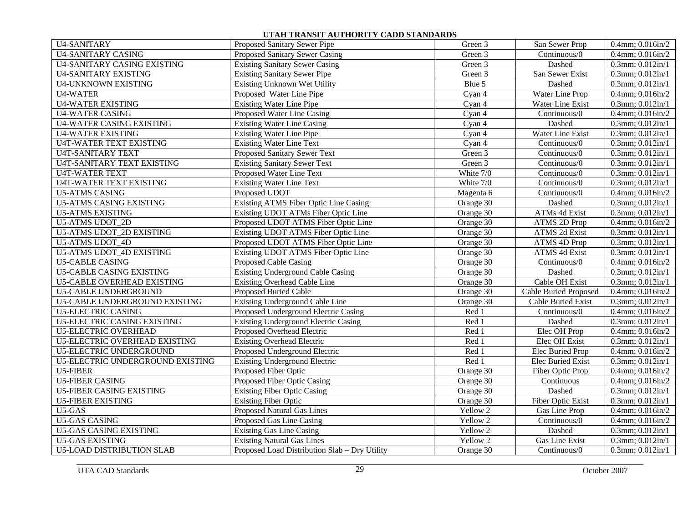| <b>U4-SANITARY</b>                 | Proposed Sanitary Sewer Pipe                  | Green 3   | San Sewer Prop                    | $0.4$ mm; $0.016$ in/2 |
|------------------------------------|-----------------------------------------------|-----------|-----------------------------------|------------------------|
| <b>U4-SANITARY CASING</b>          | Proposed Sanitary Sewer Casing                | Green 3   | Continuous/0                      | $0.4$ mm; $0.016$ in/2 |
| <b>U4-SANITARY CASING EXISTING</b> | <b>Existing Sanitary Sewer Casing</b>         | Green 3   | Dashed                            | $0.3$ mm; $0.012$ in/1 |
| <b>U4-SANITARY EXISTING</b>        | <b>Existing Sanitary Sewer Pipe</b>           | Green 3   | San Sewer Exist                   | $0.3$ mm; $0.012$ in/1 |
| <b>U4-UNKNOWN EXISTING</b>         | Existing Unknown Wet Utility                  | Blue 5    | Dashed                            | $0.3$ mm; $0.012$ in/1 |
| U4-WATER                           | Proposed Water Line Pipe                      | Cyan 4    | Water Line Prop                   | $0.4$ mm; $0.016$ in/2 |
| <b>U4-WATER EXISTING</b>           | <b>Existing Water Line Pipe</b>               | Cyan 4    | Water Line Exist                  | $0.3$ mm; $0.012$ in/1 |
| <b>U4-WATER CASING</b>             | Proposed Water Line Casing                    | Cyan 4    | Continuous/0                      | $0.4$ mm; $0.016$ in/2 |
| <b>U4-WATER CASING EXISTING</b>    | <b>Existing Water Line Casing</b>             | Cyan 4    | Dashed                            | 0.3mm; 0.012in/1       |
| <b>U4-WATER EXISTING</b>           | <b>Existing Water Line Pipe</b>               | Cyan 4    | Water Line Exist                  | $0.3$ mm; $0.012$ in/1 |
| <b>U4T-WATER TEXT EXISTING</b>     | <b>Existing Water Line Text</b>               | Cyan 4    | Continuous/0                      | 0.3mm; 0.012in/1       |
| <b>U4T-SANITARY TEXT</b>           | Proposed Sanitary Sewer Text                  | Green 3   | Continuous/0                      | $0.3$ mm; $0.012$ in/1 |
| <b>U4T-SANITARY TEXT EXISTING</b>  | <b>Existing Sanitary Sewer Text</b>           | Green 3   | $\overline{\text{Continuous}}$ /0 | $0.3$ mm; $0.012$ in/1 |
| <b>U4T-WATER TEXT</b>              | Proposed Water Line Text                      | White 7/0 | $\overline{\text{Continuous}}$ /0 | $0.3$ mm; $0.012$ in/1 |
| U4T-WATER TEXT EXISTING            | <b>Existing Water Line Text</b>               | White 7/0 | Continuous/0                      | $0.3$ mm; $0.012$ in/1 |
| <b>U5-ATMS CASING</b>              | Proposed UDOT                                 | Magenta 6 | Continuous/0                      | $0.4$ mm; $0.016$ in/2 |
| <b>U5-ATMS CASING EXISTING</b>     | Existing ATMS Fiber Optic Line Casing         | Orange 30 | Dashed                            | $0.3$ mm; $0.012$ in/1 |
| <b>U5-ATMS EXISTING</b>            | Existing UDOT ATMs Fiber Optic Line           | Orange 30 | ATMs 4d Exist                     | 0.3mm; 0.012in/1       |
| <b>U5-ATMS UDOT 2D</b>             | Proposed UDOT ATMS Fiber Optic Line           | Orange 30 | <b>ATMS 2D Prop</b>               | $0.4$ mm; $0.016$ in/2 |
| <b>U5-ATMS UDOT_2D EXISTING</b>    | Existing UDOT ATMS Fiber Optic Line           | Orange 30 | <b>ATMS 2d Exist</b>              | $0.3$ mm; $0.012$ in/1 |
| <b>U5-ATMS UDOT 4D</b>             | Proposed UDOT ATMS Fiber Optic Line           | Orange 30 | <b>ATMS 4D Prop</b>               | $0.3$ mm; $0.012$ in/1 |
| <b>U5-ATMS UDOT 4D EXISTING</b>    | Existing UDOT ATMS Fiber Optic Line           | Orange 30 | <b>ATMS 4d Exist</b>              | $0.3$ mm; $0.012$ in/1 |
| <b>U5-CABLE CASING</b>             | Proposed Cable Casing                         | Orange 30 | Continuous/0                      | $0.4$ mm; $0.016$ in/2 |
| <b>U5-CABLE CASING EXISTING</b>    | <b>Existing Underground Cable Casing</b>      | Orange 30 | Dashed                            | $0.3$ mm; $0.012$ in/1 |
| <b>U5-CABLE OVERHEAD EXISTING</b>  | Existing Overhead Cable Line                  | Orange 30 | Cable OH Exist                    | $0.3$ mm; $0.012$ in/1 |
| <b>U5-CABLE UNDERGROUND</b>        | Proposed Buried Cable                         | Orange 30 | Cable Buried Proposed             | 0.4mm; 0.016in/2       |
| U5-CABLE UNDERGROUND EXISTING      | Existing Underground Cable Line               | Orange 30 | Cable Buried Exist                | $0.3$ mm; $0.012$ in/1 |
| <b>U5-ELECTRIC CASING</b>          | Proposed Underground Electric Casing          | Red 1     | Continuous/0                      | $0.4$ mm; $0.016$ in/2 |
| <b>U5-ELECTRIC CASING EXISTING</b> | <b>Existing Underground Electric Casing</b>   | Red 1     | Dashed                            | $0.3$ mm; $0.012$ in/1 |
| <b>U5-ELECTRIC OVERHEAD</b>        | Proposed Overhead Electric                    | Red 1     | Elec OH Prop                      | $0.4$ mm; $0.016$ in/2 |
| U5-ELECTRIC OVERHEAD EXISTING      | <b>Existing Overhead Electric</b>             | Red 1     | Elec OH Exist                     | $0.3$ mm; $0.012$ in/1 |
| U5-ELECTRIC UNDERGROUND            | Proposed Underground Electric                 | Red 1     | Elec Buried Prop                  | $0.4$ mm; $0.016$ in/2 |
| U5-ELECTRIC UNDERGROUND EXISTING   | <b>Existing Underground Electric</b>          | Red 1     | Elec Buried Exist                 | $0.3$ mm; $0.012$ in/1 |
| U5-FIBER                           | Proposed Fiber Optic                          | Orange 30 | Fiber Optic Prop                  | $0.4$ mm; $0.016$ in/2 |
| <b>U5-FIBER CASING</b>             | Proposed Fiber Optic Casing                   | Orange 30 | Continuous                        | $0.4$ mm; $0.016$ in/2 |
| <b>U5-FIBER CASING EXISTING</b>    | <b>Existing Fiber Optic Casing</b>            | Orange 30 | Dashed                            | $0.3$ mm; $0.012$ in/1 |
| <b>U5-FIBER EXISTING</b>           | <b>Existing Fiber Optic</b>                   | Orange 30 | Fiber Optic Exist                 | $0.3$ mm; $0.012$ in/1 |
| $U5-GAS$                           | Proposed Natural Gas Lines                    | Yellow 2  | Gas Line Prop                     | $0.4$ mm; $0.016$ in/2 |
| <b>U5-GAS CASING</b>               | Proposed Gas Line Casing                      | Yellow 2  | Continuous/0                      | $0.4$ mm; $0.016$ in/2 |
| <b>U5-GAS CASING EXISTING</b>      | <b>Existing Gas Line Casing</b>               | Yellow 2  | Dashed                            | $0.3$ mm; $0.012$ in/1 |
| <b>U5-GAS EXISTING</b>             | <b>Existing Natural Gas Lines</b>             | Yellow 2  | Gas Line Exist                    | $0.3$ mm; $0.012$ in/1 |
| <b>U5-LOAD DISTRIBUTION SLAB</b>   | Proposed Load Distribution Slab – Dry Utility | Orange 30 | Continuous/0                      | $0.3$ mm; $0.012$ in/1 |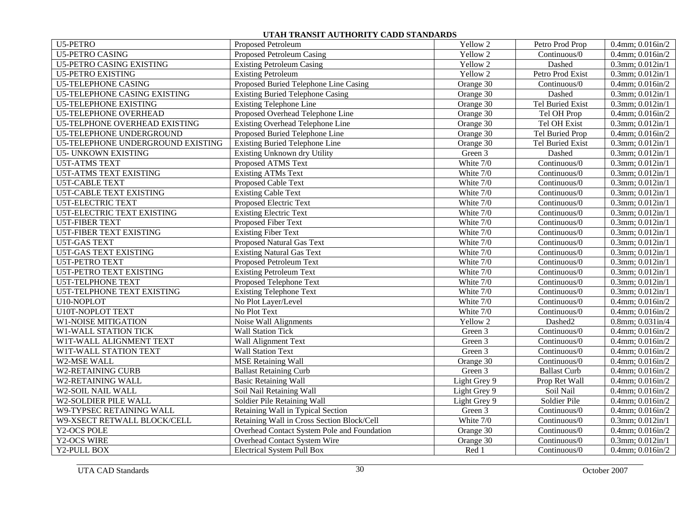| U5-PETRO                             | Proposed Petroleum                          | Yellow 2            | Petro Prod Prop                   | $0.4$ mm; $0.016$ in/2    |
|--------------------------------------|---------------------------------------------|---------------------|-----------------------------------|---------------------------|
| <b>U5-PETRO CASING</b>               | Proposed Petroleum Casing                   | Yellow 2            | Continuous/0                      | $0.4$ mm; $0.016$ in/2    |
| <b>U5-PETRO CASING EXISTING</b>      | <b>Existing Petroleum Casing</b>            | Yellow <sub>2</sub> | Dashed                            | $0.3$ mm; $0.012$ in/1    |
| <b>U5-PETRO EXISTING</b>             | <b>Existing Petroleum</b>                   | Yellow 2            | Petro Prod Exist                  | 0.3mm; 0.012in/1          |
| <b>U5-TELEPHONE CASING</b>           | Proposed Buried Telephone Line Casing       | Orange 30           | Continuous/0                      | $0.4$ mm; $0.016$ in/ $2$ |
| <b>U5-TELEPHONE CASING EXISTING</b>  | <b>Existing Buried Telephone Casing</b>     | Orange 30           | Dashed                            | $0.3$ mm; $0.012$ in/1    |
| <b>U5-TELEPHONE EXISTING</b>         | <b>Existing Telephone Line</b>              | Orange 30           | <b>Tel Buried Exist</b>           | 0.3mm; 0.012in/1          |
| <b>U5-TELEPHONE OVERHEAD</b>         | Proposed Overhead Telephone Line            | Orange 30           | Tel OH Prop                       | $0.4$ mm; $0.016$ in/2    |
| <b>U5-TELPHONE OVERHEAD EXISTING</b> | Existing Overhead Telephone Line            | Orange 30           | Tel OH Exist                      | $0.3$ mm; $0.012$ in/1    |
| U5-TELEPHONE UNDERGROUND             | Proposed Buried Telephone Line              | Orange 30           | Tel Buried Prop                   | $0.4$ mm; $0.016$ in/2    |
| U5-TELEPHONE UNDERGROUND EXISTING    | <b>Existing Buried Telephone Line</b>       | Orange 30           | Tel Buried Exist                  | $0.3$ mm; $0.012$ in/1    |
| <b>U5- UNKOWN EXISTING</b>           | Existing Unknown dry Utility                | Green 3             | Dashed                            | $0.3$ mm; $0.012$ in/1    |
| <b>U5T-ATMS TEXT</b>                 | Proposed ATMS Text                          | White 7/0           | Continuous/0                      | $0.3$ mm; $0.012$ in/1    |
| U5T-ATMS TEXT EXISTING               | <b>Existing ATMs Text</b>                   | White 7/0           | Continuous/0                      | $0.3$ mm; $0.012$ in/1    |
| <b>U5T-CABLE TEXT</b>                | Proposed Cable Text                         | White 7/0           | Continuous/0                      | $0.3$ mm; $0.012$ in/1    |
| <b>U5T-CABLE TEXT EXISTING</b>       | <b>Existing Cable Text</b>                  | White 7/0           | Continuous/0                      | $0.3$ mm; $0.012$ in/1    |
| <b>U5T-ELECTRIC TEXT</b>             | Proposed Electric Text                      | White 7/0           | Continuous/0                      | $0.3$ mm; $0.012$ in/1    |
| U5T-ELECTRIC TEXT EXISTING           | <b>Existing Electric Text</b>               | White 7/0           | Continuous/0                      | $0.3$ mm; $0.012$ in/1    |
| <b>U5T-FIBER TEXT</b>                | Proposed Fiber Text                         | White 7/0           | Continuous/0                      | $0.3$ mm; $0.012$ in/1    |
| <b>U5T-FIBER TEXT EXISTING</b>       | <b>Existing Fiber Text</b>                  | White 7/0           | $\overline{\text{Continuous}}$ /0 | $0.3$ mm; $0.012$ in/1    |
| <b>U5T-GAS TEXT</b>                  | Proposed Natural Gas Text                   | White 7/0           | Continuous/0                      | $0.3$ mm; $0.012$ in/1    |
| <b>U5T-GAS TEXT EXISTING</b>         | <b>Existing Natural Gas Text</b>            | White $7/0$         | Continuous/0                      | $0.3$ mm; $0.012$ in/1    |
| <b>U5T-PETRO TEXT</b>                | Proposed Petroleum Text                     | White $7/0$         | Continuous/0                      | $0.3$ mm; $0.012$ in/1    |
| U5T-PETRO TEXT EXISTING              | <b>Existing Petroleum Text</b>              | White 7/0           | Continuous/0                      | $0.3$ mm; $0.012$ in/1    |
| <b>U5T-TELPHONE TEXT</b>             | Proposed Telephone Text                     | White 7/0           | Continuous/0                      | $0.3$ mm; $0.012$ in/1    |
| U5T-TELPHONE TEXT EXISTING           | <b>Existing Telephone Text</b>              | White 7/0           | Continuous/0                      | $0.3$ mm; $0.012$ in/1    |
| U10-NOPLOT                           | No Plot Layer/Level                         | White 7/0           | Continuous/0                      | $0.4$ mm; $0.016$ in/2    |
| U10T-NOPLOT TEXT                     | No Plot Text                                | White 7/0           | Continuous/0                      | $0.4$ mm; $0.016$ in/2    |
| <b>W1-NOISE MITIGATION</b>           | Noise Wall Alignments                       | Yellow 2            | Dashed2                           | $0.8$ mm; $0.031$ in/4    |
| <b>W1-WALL STATION TICK</b>          | <b>Wall Station Tick</b>                    | Green 3             | Continuous/0                      | $0.4$ mm; $0.016$ in/2    |
| W1T-WALL ALIGNMENT TEXT              | <b>Wall Alignment Text</b>                  | Green 3             | Continuous/0                      | $0.4$ mm; $0.016$ in/2    |
| WIT-WALL STATION TEXT                | <b>Wall Station Text</b>                    | Green 3             | Continuous/0                      | $0.4$ mm; $0.016$ in/2    |
| W2-MSE WALL                          | <b>MSE Retaining Wall</b>                   | Orange 30           | Continuous/0                      | $0.4$ mm; $0.016$ in/2    |
| <b>W2-RETAINING CURB</b>             | <b>Ballast Retaining Curb</b>               | Green 3             | <b>Ballast Curb</b>               | $0.4$ mm; $0.016$ in/2    |
| <b>W2-RETAINING WALL</b>             | <b>Basic Retaining Wall</b>                 | Light Grey 9        | Prop Ret Wall                     | $0.4$ mm; $0.016$ in/2    |
| <b>W2-SOIL NAIL WALL</b>             | Soil Nail Retaining Wall                    | Light Grey 9        | Soil Nail                         | $0.4$ mm; $0.016$ in/2    |
| W2-SOLDIER PILE WALL                 | Soldier Pile Retaining Wall                 | Light Grey 9        | Soldier Pile                      | $0.4$ mm; $0.016$ in/2    |
| W9-TYPSEC RETAINING WALL             | Retaining Wall in Typical Section           | Green 3             | Continuous/0                      | $0.4$ mm; $0.016$ in/2    |
| W9-XSECT RETWALL BLOCK/CELL          | Retaining Wall in Cross Section Block/Cell  | White 7/0           | Continuous/0                      | $0.3$ mm; $0.012$ in/1    |
| Y2-OCS POLE                          | Overhead Contact System Pole and Foundation | Orange 30           | Continuous/0                      | $0.4$ mm; $0.016$ in/2    |
| Y2-OCS WIRE                          | Overhead Contact System Wire                | Orange 30           | Continuous/0                      | $0.3$ mm; $0.012$ in/1    |
| Y2-PULL BOX                          | <b>Electrical System Pull Box</b>           | Red 1               | Continuous/0                      | $0.4$ mm; $0.016$ in/2    |